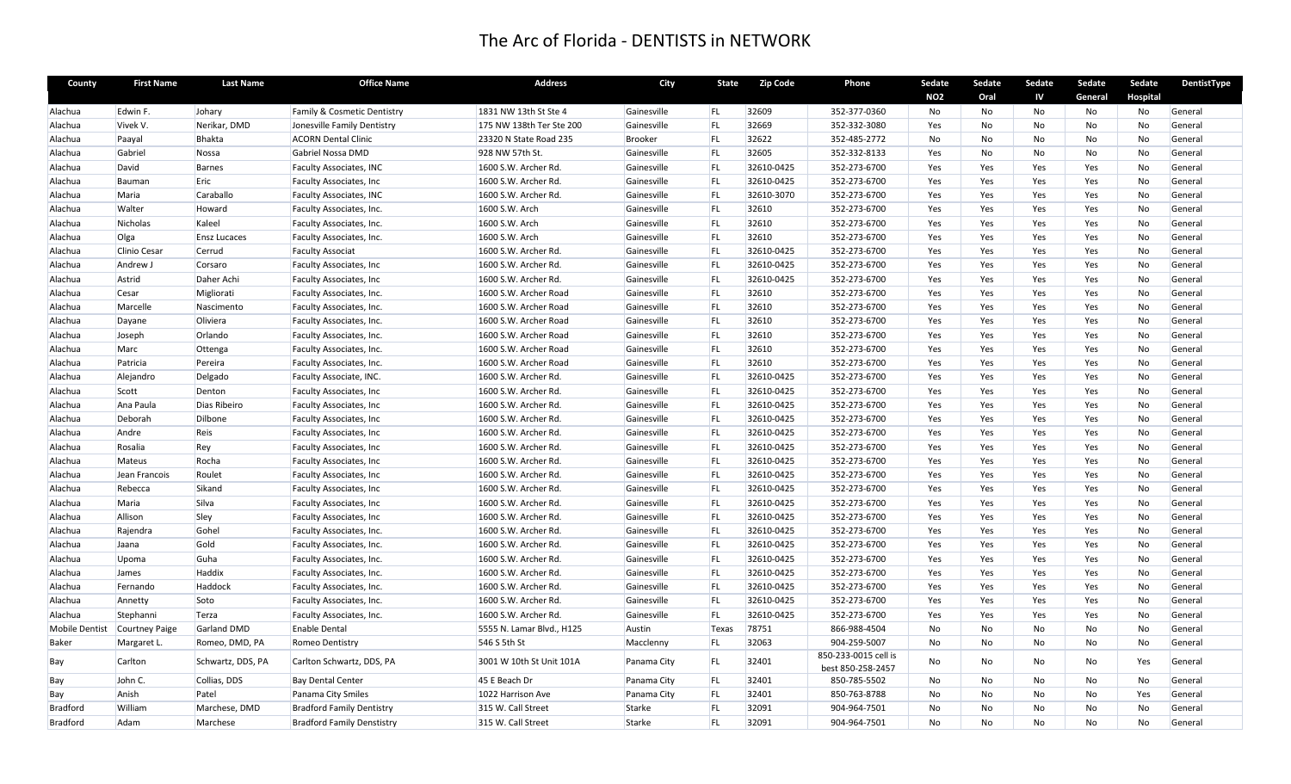| County          | <b>First Name</b>             | <b>Last Name</b>    | <b>Office Name</b>                | <b>Address</b>            | City        | <b>State</b> | <b>Zip Code</b> | Phone                                     | Sedate     | Sedate         | Sedate | Sedate  | Sedate   | DentistType |
|-----------------|-------------------------------|---------------------|-----------------------------------|---------------------------|-------------|--------------|-----------------|-------------------------------------------|------------|----------------|--------|---------|----------|-------------|
|                 |                               |                     |                                   |                           |             |              |                 |                                           | <b>NO2</b> | Oral           | IV     | General | Hospital |             |
| Alachua         | Edwin F.                      | Johary              | Family & Cosmetic Dentistry       | 1831 NW 13th St Ste 4     | Gainesville | <b>FL</b>    | 32609           | 352-377-0360                              | No         | No             | No     | No      | No       | General     |
| Alachua         | Vivek V.                      | Nerikar, DMD        | Jonesville Family Dentistry       | 175 NW 138th Ter Ste 200  | Gainesville | FL           | 32669           | 352-332-3080                              | Yes        | No             | No     | No      | No       | General     |
| Alachua         | Paayal                        | <b>Bhakta</b>       | <b>ACORN Dental Clinic</b>        | 23320 N State Road 235    | Brooker     | FL           | 32622           | 352-485-2772                              | No         | No             | No     | No      | No       | General     |
| Alachua         | Gabriel                       | Nossa               | Gabriel Nossa DMD                 | 928 NW 57th St.           | Gainesville | FL           | 32605           | 352-332-8133                              | Yes        | <b>No</b>      | No     | No      | No       | General     |
| Alachua         | David                         | <b>Barnes</b>       | <b>Faculty Associates, INC</b>    | 1600 S.W. Archer Rd.      | Gainesville | FL           | 32610-0425      | 352-273-6700                              | Yes        | Yes            | Yes    | Yes     | No       | General     |
| Alachua         | Bauman                        | Eric                | <b>Faculty Associates, Inc.</b>   | 1600 S.W. Archer Rd.      | Gainesville | FL           | 32610-0425      | 352-273-6700                              | Yes        | Yes            | Yes    | Yes     | No       | General     |
| Alachua         | Maria                         | Caraballo           | Faculty Associates, INC           | 1600 S.W. Archer Rd.      | Gainesville | <b>FL</b>    | 32610-3070      | 352-273-6700                              | Yes        | Yes            | Yes    | Yes     | No       | General     |
| Alachua         | Walter                        | Howard              | Faculty Associates, Inc.          | 1600 S.W. Arch            | Gainesville | <b>FL</b>    | 32610           | 352-273-6700                              | Yes        | Yes            | Yes    | Yes     | No       | General     |
| Alachua         | Nicholas                      | Kaleel              | Faculty Associates, Inc.          | 1600 S.W. Arch            | Gainesville | FL           | 32610           | 352-273-6700                              | Yes        | Yes            | Yes    | Yes     | No       | General     |
| Alachua         | Olga                          | <b>Ensz Lucaces</b> | Faculty Associates, Inc.          | 1600 S.W. Arch            | Gainesville | <b>FL</b>    | 32610           | 352-273-6700                              | Yes        | Yes            | Yes    | Yes     | No       | General     |
| Alachua         | Clinio Cesar                  | Cerrud              | <b>Faculty Associat</b>           | 1600 S.W. Archer Rd.      | Gainesville | FL           | 32610-0425      | 352-273-6700                              | Yes        | Yes            | Yes    | Yes     | No       | General     |
| Alachua         | Andrew J                      | Corsaro             | Faculty Associates, Inc.          | 1600 S.W. Archer Rd.      | Gainesville | FL           | 32610-0425      | 352-273-6700                              | Yes        | Yes            | Yes    | Yes     | No       | General     |
| Alachua         | Astrid                        | Daher Achi          | Faculty Associates, Inc.          | 1600 S.W. Archer Rd.      | Gainesville | <b>FL</b>    | 32610-0425      | 352-273-6700                              | Yes        | Yes            | Yes    | Yes     | No       | General     |
| Alachua         | Cesar                         | Migliorati          | Faculty Associates, Inc.          | 1600 S.W. Archer Road     | Gainesville | FL           | 32610           | 352-273-6700                              | Yes        | Yes            | Yes    | Yes     | No       | General     |
| Alachua         | Marcelle                      | Nascimento          | Faculty Associates, Inc.          | 1600 S.W. Archer Road     | Gainesville | FL           | 32610           | 352-273-6700                              | Yes        | Yes            | Yes    | Yes     | No       | General     |
| Alachua         | Dayane                        | Oliviera            | Faculty Associates, Inc.          | 1600 S.W. Archer Road     | Gainesville | <b>FL</b>    | 32610           | 352-273-6700                              | Yes        | Yes            | Yes    | Yes     | No       | General     |
| Alachua         | Joseph                        | Orlando             | Faculty Associates, Inc.          | 1600 S.W. Archer Road     | Gainesville | <b>FL</b>    | 32610           | 352-273-6700                              | Yes        | Yes            | Yes    | Yes     | No       | General     |
| Alachua         | Marc                          | Ottenga             | Faculty Associates, Inc.          | 1600 S.W. Archer Road     | Gainesville | FL.          | 32610           | 352-273-6700                              | Yes        | Yes            | Yes    | Yes     | No       | General     |
| Alachua         | Patricia                      | Pereira             | Faculty Associates, Inc.          | 1600 S.W. Archer Road     | Gainesville | <b>FL</b>    | 32610           | 352-273-6700                              | Yes        | Yes            | Yes    | Yes     | No       | General     |
| Alachua         | Alejandro                     | Delgado             | Faculty Associate, INC.           | 1600 S.W. Archer Rd.      | Gainesville | <b>FL</b>    | 32610-0425      | 352-273-6700                              | Yes        | Yes            | Yes    | Yes     | No       | General     |
| Alachua         | Scott                         | Denton              | Faculty Associates, Inc.          | 1600 S.W. Archer Rd.      | Gainesville | <b>FL</b>    | 32610-0425      | 352-273-6700                              | Yes        | Yes            | Yes    | Yes     | No       | General     |
| Alachua         | Ana Paula                     | Dias Ribeiro        | Faculty Associates, Inc.          | 1600 S.W. Archer Rd.      | Gainesville | <b>FL</b>    | 32610-0425      | 352-273-6700                              | Yes        | Yes            | Yes    | Yes     | No       | General     |
| Alachua         | Deborah                       | Dilbone             | Faculty Associates, Inc.          | 1600 S.W. Archer Rd.      | Gainesville | FL           | 32610-0425      | 352-273-6700                              | Yes        | Yes            | Yes    | Yes     | No       | General     |
| Alachua         | Andre                         | Reis                | Faculty Associates, Inc           | 1600 S.W. Archer Rd.      | Gainesville | FL           | 32610-0425      | 352-273-6700                              | Yes        | Yes            | Yes    | Yes     | No       | General     |
| Alachua         | Rosalia                       | Rey                 | Faculty Associates, Inc.          | 1600 S.W. Archer Rd.      | Gainesville | <b>FL</b>    | 32610-0425      | 352-273-6700                              | Yes        | Yes            | Yes    | Yes     | No       | General     |
| Alachua         | Mateus                        | Rocha               | Faculty Associates, Inc.          | 1600 S.W. Archer Rd.      | Gainesville | <b>FL</b>    | 32610-0425      | 352-273-6700                              | Yes        | Yes            | Yes    | Yes     | No       | General     |
| Alachua         | Jean Francois                 | Roulet              | Faculty Associates, Inc.          | 1600 S.W. Archer Rd.      | Gainesville | FL           | 32610-0425      | 352-273-6700                              | Yes        | Yes            | Yes    | Yes     | No       | General     |
| Alachua         | Rebecca                       | Sikand              | Faculty Associates, Inc.          | 1600 S.W. Archer Rd.      | Gainesville | <b>FL</b>    | 32610-0425      | 352-273-6700                              | Yes        | Yes            | Yes    | Yes     | No       | General     |
| Alachua         | Maria                         | Silva               | Faculty Associates, Inc.          | 1600 S.W. Archer Rd.      | Gainesville | FL           | 32610-0425      | 352-273-6700                              | Yes        | Yes            | Yes    | Yes     | No       | General     |
| Alachua         | Allison                       | Sley                | <b>Faculty Associates, Inc.</b>   | 1600 S.W. Archer Rd.      | Gainesville | FL           | 32610-0425      | 352-273-6700                              | Yes        | Yes            | Yes    | Yes     | No       | General     |
| Alachua         | Rajendra                      | Gohel               | Faculty Associates, Inc.          | 1600 S.W. Archer Rd.      | Gainesville | <b>FL</b>    | 32610-0425      | 352-273-6700                              | Yes        | Yes            | Yes    | Yes     | No       | General     |
| Alachua         | Jaana                         | Gold                | Faculty Associates, Inc.          | 1600 S.W. Archer Rd.      | Gainesville | <b>FL</b>    | 32610-0425      | 352-273-6700                              | Yes        | Yes            | Yes    | Yes     | No       | General     |
| Alachua         | Upoma                         | Guha                | Faculty Associates, Inc.          | 1600 S.W. Archer Rd.      | Gainesville | FL           | 32610-0425      | 352-273-6700                              | Yes        | Yes            | Yes    | Yes     | No       | General     |
| Alachua         | James                         | Haddix              | Faculty Associates, Inc.          | 1600 S.W. Archer Rd.      | Gainesville | <b>FL</b>    | 32610-0425      | 352-273-6700                              | Yes        | Yes            | Yes    | Yes     | No       | General     |
| Alachua         | Fernando                      | Haddock             | Faculty Associates, Inc.          | 1600 S.W. Archer Rd.      | Gainesville | <b>FL</b>    | 32610-0425      | 352-273-6700                              | Yes        | Yes            | Yes    | Yes     | No       | General     |
| Alachua         | Annetty                       | Soto                | Faculty Associates, Inc.          | 1600 S.W. Archer Rd.      | Gainesville | FL           | 32610-0425      | 352-273-6700                              | Yes        | Yes            | Yes    | Yes     | No       | General     |
| Alachua         | Stephanni                     | Terza               | Faculty Associates, Inc.          | 1600 S.W. Archer Rd.      | Gainesville | FL.          | 32610-0425      | 352-273-6700                              | Yes        | Yes            | Yes    | Yes     | No       | General     |
|                 | Mobile Dentist Courtney Paige | Garland DMD         | <b>Enable Dental</b>              | 5555 N. Lamar Blvd., H125 | Austin      | Texas        | 78751           | 866-988-4504                              | No         | <b>No</b>      | No     | No      | No       | General     |
| <b>Baker</b>    | Margaret L                    | Romeo, DMD, PA      | Romeo Dentistry                   | 546 S 5th St              | Macclenny   | FL           | 32063           | 904-259-5007                              | No         | No             | No     | No      | No       | General     |
| Bay             | Carlton                       | Schwartz, DDS, PA   | Carlton Schwartz, DDS, PA         | 3001 W 10th St Unit 101A  | Panama City | FL           | 32401           | 850-233-0015 cell is<br>best 850-258-2457 | No         | No             | No     | No      | Yes      | General     |
| Bay             | John C.                       | Collias, DDS        | <b>Bay Dental Center</b>          | 45 E Beach Dr             | Panama City | FL           | 32401           | 850-785-5502                              | No         | No             | No     | No      | No       | General     |
| Bay             | Anish                         | Patel               | Panama City Smiles                | 1022 Harrison Ave         | Panama City | FL           | 32401           | 850-763-8788                              | <b>No</b>  | <b>No</b>      | No     | No      | Yes      | General     |
| <b>Bradford</b> | William                       | Marchese, DMD       | <b>Bradford Family Dentistry</b>  | 315 W. Call Street        | Starke      | <b>FL</b>    | 32091           | 904-964-7501                              | No         | No             | No     | No      | No       | General     |
| <b>Bradford</b> | Adam                          | Marchese            | <b>Bradford Family Denstistry</b> | 315 W. Call Street        | Starke      | <b>FL</b>    | 32091           | 904-964-7501                              | <b>No</b>  | N <sub>o</sub> | No     | No      | No       | General     |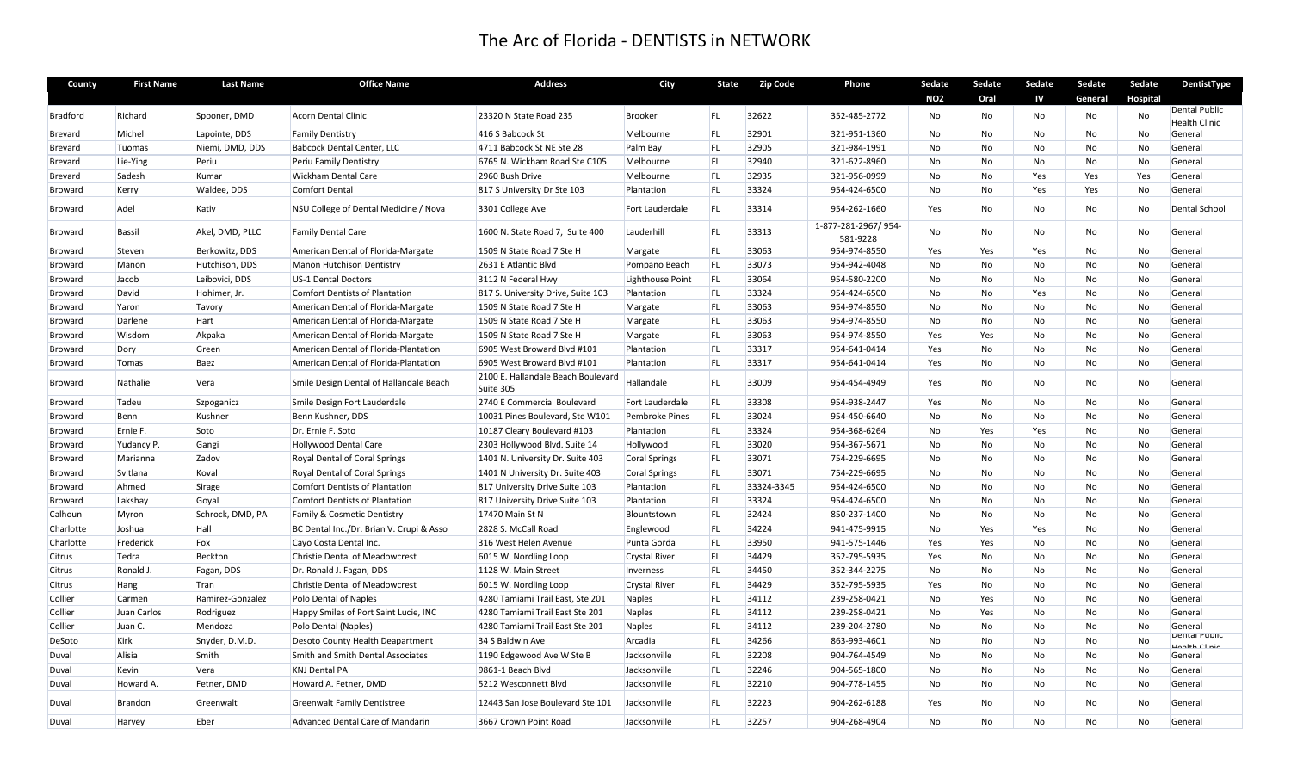| County          | <b>First Name</b> | <b>Last Name</b>                 | <b>Office Name</b>                                           | <b>Address</b>                                   | City                  | <b>State</b>    | <b>Zip Code</b> | Phone                           | Sedate          | Sedate          | Sedate    | Sedate    | Sedate          | DentistType          |
|-----------------|-------------------|----------------------------------|--------------------------------------------------------------|--------------------------------------------------|-----------------------|-----------------|-----------------|---------------------------------|-----------------|-----------------|-----------|-----------|-----------------|----------------------|
|                 |                   |                                  |                                                              |                                                  |                       |                 |                 |                                 | <b>NO2</b>      | Oral            | IV        | General   | <b>Hospital</b> |                      |
| <b>Bradford</b> | Richard           | Spooner, DMD                     | <b>Acorn Dental Clinic</b>                                   | 23320 N State Road 235                           | <b>Brooker</b>        | <b>FL</b>       | 32622           | 352-485-2772                    | No              | No              | No        | No        | No              | <b>Dental Public</b> |
|                 |                   |                                  |                                                              |                                                  |                       |                 |                 |                                 |                 |                 |           |           |                 | <b>Health Clinic</b> |
| Brevard         | Michel            | Lapointe, DDS<br>Niemi, DMD, DDS | <b>Family Dentistry</b><br><b>Babcock Dental Center, LLC</b> | 416 S Babcock St<br>4711 Babcock St NE Ste 28    | Melbourne             | FL<br><b>FL</b> | 32901<br>32905  | 321-951-1360<br>321-984-1991    | No<br><b>No</b> | No<br><b>No</b> | No<br>No  | No<br>No  | No<br>No        | General<br>General   |
| Brevard         | Tuomas            |                                  |                                                              |                                                  | Palm Bay              | FL              | 32940           | 321-622-8960                    |                 |                 |           |           |                 |                      |
| <b>Brevard</b>  | Lie-Ying          | Periu<br>Kumar                   | Periu Family Dentistry                                       | 6765 N. Wickham Road Ste C105<br>2960 Bush Drive | Melbourne             | <b>FL</b>       |                 | 321-956-0999                    | No<br>No        | No<br>No        | No        | No        | No              | General              |
| Brevard         | Sadesh            |                                  | Wickham Dental Care                                          |                                                  | Melbourne             |                 | 32935           |                                 |                 |                 | Yes       | Yes       | Yes             | General              |
| Broward         | Kerry             | Waldee, DDS                      | <b>Comfort Dental</b>                                        | 817 S University Dr Ste 103                      | Plantation            | FL              | 33324           | 954-424-6500                    | No              | No              | Yes       | Yes       | No              | General              |
| Broward         | Adel              | Kativ                            | NSU College of Dental Medicine / Nova                        | 3301 College Ave                                 | Fort Lauderdale       | FL.             | 33314           | 954-262-1660                    | Yes             | No              | No        | No        | No              | <b>Dental School</b> |
| Broward         | <b>Bassil</b>     | Akel, DMD, PLLC                  | <b>Family Dental Care</b>                                    | 1600 N. State Road 7, Suite 400                  | Lauderhill            | <b>FL</b>       | 33313           | 1-877-281-2967/954-<br>581-9228 | No              | <b>No</b>       | No        | No        | No              | General              |
| Broward         | Steven            | Berkowitz, DDS                   | American Dental of Florida-Margate                           | 1509 N State Road 7 Ste H                        | Margate               | FL              | 33063           | 954-974-8550                    | Yes             | Yes             | Yes       | No        | No              | General              |
| Broward         | Manon             | Hutchison, DDS                   | <b>Manon Hutchison Dentistry</b>                             | 2631 E Atlantic Blvd                             | Pompano Beach         | <b>FL</b>       | 33073           | 954-942-4048                    | No              | No              | No        | No        | No              | General              |
| Broward         | Jacob             | Leibovici, DDS                   | <b>US-1 Dental Doctors</b>                                   | 3112 N Federal Hwy                               | Lighthouse Point      | FL              | 33064           | 954-580-2200                    | No              | No              | No        | No        | No              | General              |
| Broward         | David             | Hohimer, Jr.                     | <b>Comfort Dentists of Plantation</b>                        | 817 S. University Drive, Suite 103               | Plantation            | FL              | 33324           | 954-424-6500                    | No              | No              | Yes       | No        | No              | General              |
| Broward         | Yaron             | Tavory                           | American Dental of Florida-Margate                           | 1509 N State Road 7 Ste H                        | Margate               | <b>FL</b>       | 33063           | 954-974-8550                    | No              | No              | No        | No        | No              | General              |
| Broward         | Darlene           | Hart                             | American Dental of Florida-Margate                           | 1509 N State Road 7 Ste H                        | Margate               | FL              | 33063           | 954-974-8550                    | No              | No              | No        | No        | No              | General              |
| <b>Broward</b>  | Wisdom            | Akpaka                           | American Dental of Florida-Margate                           | 1509 N State Road 7 Ste H                        | Margate               | <b>FL</b>       | 33063           | 954-974-8550                    | Yes             | Yes             | No        | No        | No              | General              |
| Broward         | Dory              | Green                            | American Dental of Florida-Plantation                        | 6905 West Broward Blvd #101                      | Plantation            | <b>FL</b>       | 33317           | 954-641-0414                    | Yes             | No              | No        | No        | No              | General              |
| Broward         | Tomas             | Baez                             | American Dental of Florida-Plantation                        | 6905 West Broward Blvd #101                      | Plantation            | FL              | 33317           | 954-641-0414                    | Yes             | No              | No        | No        | No              | General              |
| Broward         | Nathalie          | Vera                             | Smile Design Dental of Hallandale Beach                      | 2100 E. Hallandale Beach Boulevard<br>Suite 305  | Hallandale            | FL              | 33009           | 954-454-4949                    | Yes             | No              | No        | No        | No              | General              |
| Broward         | Tadeu             | Szpoganicz                       | Smile Design Fort Lauderdale                                 | 2740 E Commercial Boulevard                      | Fort Lauderdale       | FL.             | 33308           | 954-938-2447                    | Yes             | No              | No        | No        | No              | General              |
| <b>Broward</b>  | Benn              | Kushner                          | Benn Kushner, DDS                                            | 10031 Pines Boulevard, Ste W101                  | <b>Pembroke Pines</b> | <b>FL</b>       | 33024           | 954-450-6640                    | <b>No</b>       | <b>No</b>       | No        | <b>No</b> | <b>No</b>       | General              |
| Broward         | Ernie F.          | Soto                             | Dr. Ernie F. Soto                                            | 10187 Cleary Boulevard #103                      | Plantation            | FL              | 33324           | 954-368-6264                    | No              | Yes             | Yes       | No        | No              | General              |
| Broward         | Yudancy P.        | Gangi                            | <b>Hollywood Dental Care</b>                                 | 2303 Hollywood Blvd. Suite 14                    | Hollywood             | FL              | 33020           | 954-367-5671                    | No              | No              | No        | No        | No              | General              |
| Broward         | Marianna          | Zadov                            | Royal Dental of Coral Springs                                | 1401 N. University Dr. Suite 403                 | Coral Springs         | FL.             | 33071           | 754-229-6695                    | <b>No</b>       | <b>No</b>       | No        | No        | No              | General              |
| Broward         | Svitlana          | Koval                            | Royal Dental of Coral Springs                                | 1401 N University Dr. Suite 403                  | Coral Springs         | FL              | 33071           | 754-229-6695                    | No              | No              | No        | No        | No              | General              |
| Broward         | Ahmed             | Sirage                           | <b>Comfort Dentists of Plantation</b>                        | 817 University Drive Suite 103                   | Plantation            | <b>FL</b>       | 33324-3345      | 954-424-6500                    | No              | No              | No        | No        | <b>No</b>       | General              |
| Broward         | Lakshay           | Goyal                            | <b>Comfort Dentists of Plantation</b>                        | 817 University Drive Suite 103                   | Plantation            | <b>FL</b>       | 33324           | 954-424-6500                    | No              | No              | No        | No        | No              | General              |
| Calhoun         | Myron             | Schrock, DMD, PA                 | Family & Cosmetic Dentistry                                  | 17470 Main St N                                  | Blountstown           | <b>FL</b>       | 32424           | 850-237-1400                    | No              | No              | No        | No        | No              | General              |
| Charlotte       | Joshua            | Hall                             | BC Dental Inc./Dr. Brian V. Crupi & Asso                     | 2828 S. McCall Road                              | Englewood             | FL              | 34224           | 941-475-9915                    | <b>No</b>       | Yes             | Yes       | No        | No              | General              |
| Charlotte       | Frederick         | Fox                              | Cayo Costa Dental Inc.                                       | 316 West Helen Avenue                            | Punta Gorda           | FL              | 33950           | 941-575-1446                    | Yes             | Yes             | No        | No        | No              | General              |
| Citrus          | Tedra             | Beckton                          | <b>Christie Dental of Meadowcrest</b>                        | 6015 W. Nordling Loop                            | <b>Crystal River</b>  | <b>FL</b>       | 34429           | 352-795-5935                    | Yes             | No              | No        | No        | <b>No</b>       | General              |
| Citrus          | Ronald J.         | Fagan, DDS                       | Dr. Ronald J. Fagan, DDS                                     | 1128 W. Main Street                              | Inverness             | <b>FL</b>       | 34450           | 352-344-2275                    | <b>No</b>       | No              | No        | No        | No              | General              |
| Citrus          | Hang              | <b>Tran</b>                      | <b>Christie Dental of Meadowcrest</b>                        | 6015 W. Nordling Loop                            | <b>Crystal River</b>  | <b>FL</b>       | 34429           | 352-795-5935                    | Yes             | No              | No        | No        | No              | General              |
| Collier         | Carmen            | Ramirez-Gonzalez                 | Polo Dental of Naples                                        | 4280 Tamiami Trail East, Ste 201                 | <b>Naples</b>         | <b>FL</b>       | 34112           | 239-258-0421                    | No              | Yes             | No        | <b>No</b> | No              | General              |
| Collier         | Juan Carlos       | Rodriguez                        | Happy Smiles of Port Saint Lucie, INC                        | 4280 Tamiami Trail East Ste 201                  | <b>Naples</b>         | FL              | 34112           | 239-258-0421                    | No              | Yes             | No        | No        | No              | General              |
| Collier         | Juan C.           | Mendoza                          | Polo Dental (Naples)                                         | 4280 Tamiami Trail East Ste 201                  | Naples                | <b>FL</b>       | 34112           | 239-204-2780                    | No              | No              | No        | No        | No              | General              |
|                 | Kirk              |                                  |                                                              |                                                  |                       | <b>FL</b>       |                 |                                 |                 |                 |           |           |                 | Dental Public        |
| DeSoto          |                   | Snyder, D.M.D.                   | Desoto County Health Deapartment                             | 34 S Baldwin Ave                                 | Arcadia               |                 | 34266           | 863-993-4601                    | No              | No              | No        | No        | No              | Hoolth Clinic        |
| Duval           | Alisia            | Smith                            | Smith and Smith Dental Associates                            | 1190 Edgewood Ave W Ste B                        | Jacksonville          | FL              | 32208           | 904-764-4549                    | No              | No              | No        | No        | No              | General              |
| Duval           | Kevin             | Vera                             | <b>KNJ Dental PA</b>                                         | 9861-1 Beach Blvd                                | Jacksonville          | <b>FL</b>       | 32246           | 904-565-1800                    | No              | No              | <b>No</b> | No        | No              | General              |
| Duval           | Howard A.         | Fetner, DMD                      | Howard A. Fetner, DMD                                        | 5212 Wesconnett Blvd                             | Jacksonville          | <b>FL</b>       | 32210           | 904-778-1455                    | No              | No              | No        | No        | No              | General              |
| Duval           | Brandon           | Greenwalt                        | <b>Greenwalt Family Dentistree</b>                           | 12443 San Jose Boulevard Ste 101                 | Jacksonville          | FL              | 32223           | 904-262-6188                    | Yes             | No              | No        | No        | No              | General              |
| Duval           | Harvey            | Eber                             | Advanced Dental Care of Mandarin                             | 3667 Crown Point Road                            | Jacksonville          | FL.             | 32257           | 904-268-4904                    | No              | No              | No        | No        | No              | General              |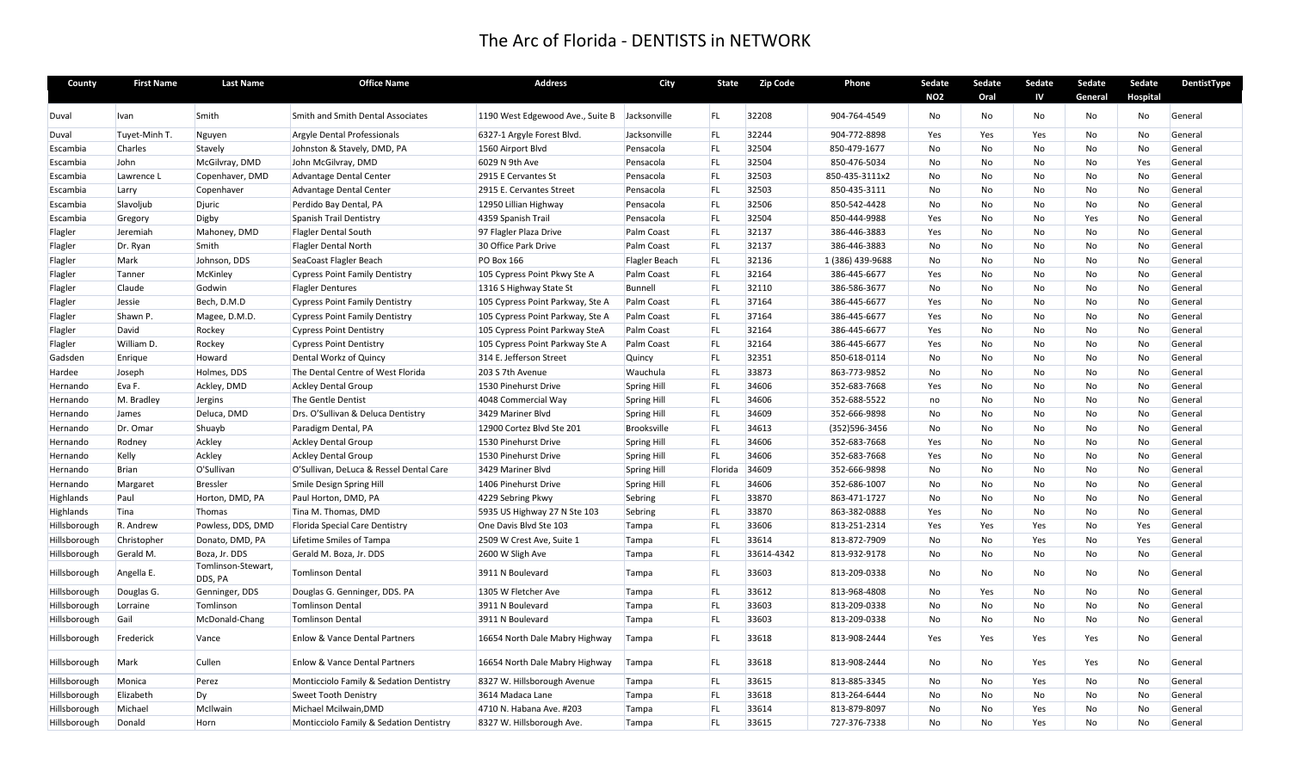| County       | <b>First Name</b> | <b>Last Name</b>              | <b>Office Name</b>                      | <b>Address</b>                   | City               | <b>State</b> | <b>Zip Code</b> | Phone            | Sedate<br><b>NO2</b> | Sedate<br>Oral | Sedate<br>IV | Sedate<br>General | Sedate<br>Hospital | DentistType |
|--------------|-------------------|-------------------------------|-----------------------------------------|----------------------------------|--------------------|--------------|-----------------|------------------|----------------------|----------------|--------------|-------------------|--------------------|-------------|
| Duval        | Ivan              | Smith                         | Smith and Smith Dental Associates       | 1190 West Edgewood Ave., Suite B | Jacksonville       | FL.          | 32208           | 904-764-4549     | No                   | No             | No           | No                | No                 | General     |
| Duval        | Tuyet-Minh T.     | Nguyen                        | Argyle Dental Professionals             | 6327-1 Argyle Forest Blvd.       | Jacksonville       | FL           | 32244           | 904-772-8898     | Yes                  | Yes            | Yes          | No                | No                 | General     |
| Escambia     | Charles           | Stavely                       | Johnston & Stavely, DMD, PA             | 1560 Airport Blvd                | Pensacola          | <b>FL</b>    | 32504           | 850-479-1677     | <b>No</b>            | <b>No</b>      | No           | <b>No</b>         | No                 | General     |
| Escambia     | John              | McGilvray, DMD                | John McGilvray, DMD                     | 6029 N 9th Ave                   | Pensacola          | <b>FL</b>    | 32504           | 850-476-5034     | No                   | No             | No           | No                | Yes                | General     |
| Escambia     | Lawrence L        | Copenhaver, DMD               | Advantage Dental Center                 | 2915 E Cervantes St              | Pensacola          | <b>FL</b>    | 32503           | 850-435-3111x2   | No                   | No             | No           | No                | No                 | General     |
| Escambia     | Larry             | Copenhaver                    | Advantage Dental Center                 | 2915 E. Cervantes Street         | Pensacola          | <b>FL</b>    | 32503           | 850-435-3111     | No                   | No             | No           | No                | No                 | General     |
| Escambia     | Slavoljub         | Djuric                        | Perdido Bay Dental, PA                  | 12950 Lillian Highway            | Pensacola          | <b>FL</b>    | 32506           | 850-542-4428     | <b>No</b>            | No             | No           | No                | No                 | General     |
| Escambia     | Gregory           | Digby                         | <b>Spanish Trail Dentistry</b>          | 4359 Spanish Trail               | Pensacola          | <b>FL</b>    | 32504           | 850-444-9988     | Yes                  | No             | No           | Yes               | No                 | General     |
| Flagler      | Jeremiah          | Mahoney, DMD                  | <b>Flagler Dental South</b>             | 97 Flagler Plaza Drive           | Palm Coast         | FL           | 32137           | 386-446-3883     | Yes                  | No             | No           | No                | No                 | General     |
| Flagler      | Dr. Ryan          | Smith                         | Flagler Dental North                    | 30 Office Park Drive             | Palm Coast         | <b>FL</b>    | 32137           | 386-446-3883     | <b>No</b>            | <b>No</b>      | No           | No                | No                 | General     |
| Flagler      | Mark              | Johnson, DDS                  | SeaCoast Flagler Beach                  | <b>PO Box 166</b>                | Flagler Beach      | <b>FL</b>    | 32136           | 1 (386) 439-9688 | No                   | No             | No           | No                | No                 | General     |
| Flagler      | Tanner            | McKinley                      | <b>Cypress Point Family Dentistry</b>   | 105 Cypress Point Pkwy Ste A     | Palm Coast         | FL           | 32164           | 386-445-6677     | Yes                  | No             | No           | No                | No                 | General     |
| Flagler      | Claude            | Godwin                        | <b>Flagler Dentures</b>                 | 1316 S Highway State St          | Bunnell            | <b>FL</b>    | 32110           | 386-586-3677     | No                   | No             | No           | No                | No                 | General     |
| Flagler      | Jessie            | Bech, D.M.D                   | <b>Cypress Point Family Dentistry</b>   | 105 Cypress Point Parkway, Ste A | Palm Coast         | <b>FL</b>    | 37164           | 386-445-6677     | Yes                  | No             | No           | No                | No                 | General     |
| Flagler      | Shawn P.          | Magee, D.M.D.                 | <b>Cypress Point Family Dentistry</b>   | 105 Cypress Point Parkway, Ste A | Palm Coast         | FL           | 37164           | 386-445-6677     | Yes                  | No             | No           | No                | No                 | General     |
| Flagler      | David             | Rockey                        | <b>Cypress Point Dentistry</b>          | 105 Cypress Point Parkway SteA   | Palm Coast         | <b>FL</b>    | 32164           | 386-445-6677     | Yes                  | No             | No           | No                | No                 | General     |
| Flagler      | William D.        | Rockey                        | <b>Cypress Point Dentistry</b>          | 105 Cypress Point Parkway Ste A  | Palm Coast         | <b>FL</b>    | 32164           | 386-445-6677     | Yes                  | <b>No</b>      | No           | <b>No</b>         | No                 | General     |
| Gadsden      | Enrique           | Howard                        | Dental Workz of Quincy                  | 314 E. Jefferson Street          | Quincy             | FL           | 32351           | 850-618-0114     | No                   | No             | No           | No                | No                 | General     |
| Hardee       | Joseph            | Holmes, DDS                   | The Dental Centre of West Florida       | 203 S 7th Avenue                 | Wauchula           | <b>FL</b>    | 33873           | 863-773-9852     | No                   | No             | No           | No                | No                 | General     |
| Hernando     | Eva F.            | Ackley, DMD                   | <b>Ackley Dental Group</b>              | 1530 Pinehurst Drive             | Spring Hill        | <b>FL</b>    | 34606           | 352-683-7668     | Yes                  | <b>No</b>      | No           | No                | No                 | General     |
| Hernando     | M. Bradley        | Jergins                       | The Gentle Dentist                      | 4048 Commercial Way              | <b>Spring Hill</b> | FL           | 34606           | 352-688-5522     | no                   | No             | No           | No                | No                 | General     |
| Hernando     | James             | Deluca, DMD                   | Drs. O'Sullivan & Deluca Dentistry      | 3429 Mariner Blvd                | <b>Spring Hill</b> | FL           | 34609           | 352-666-9898     | No                   | No             | No           | No                | No                 | General     |
| Hernando     | Dr. Omar          | Shuayb                        | Paradigm Dental, PA                     | 12900 Cortez Blvd Ste 201        | Brooksville        | <b>FL</b>    | 34613           | (352)596-3456    | No                   | No             | No.          | No                | No                 | General     |
| Hernando     | Rodney            | Ackley                        | <b>Ackley Dental Group</b>              | 1530 Pinehurst Drive             | <b>Spring Hill</b> | FL.          | 34606           | 352-683-7668     | Yes                  | <b>No</b>      | No           | No                | No                 | General     |
| Hernando     | Kelly             | Ackley                        | <b>Ackley Dental Group</b>              | 1530 Pinehurst Drive             | <b>Spring Hill</b> | FL           | 34606           | 352-683-7668     | Yes                  | No             | No           | No                | No                 | General     |
| Hernando     | Brian             | O'Sullivan                    | O'Sullivan, DeLuca & Ressel Dental Care | 3429 Mariner Blvd                | <b>Spring Hill</b> | Florida      | 34609           | 352-666-9898     | No                   | No             | No           | No                | No                 | General     |
| Hernando     | Margaret          | <b>Bressler</b>               | Smile Design Spring Hill                | 1406 Pinehurst Drive             | Spring Hill        | <b>FL</b>    | 34606           | 352-686-1007     | No                   | <b>No</b>      | No           | No                | No                 | General     |
| Highlands    | Paul              | Horton, DMD, PA               | Paul Horton, DMD, PA                    | 4229 Sebring Pkwy                | Sebring            | <b>FL</b>    | 33870           | 863-471-1727     | No                   | No             | No.          | No                | No                 | General     |
| Highlands    | Tina              | Thomas                        | Tina M. Thomas, DMD                     | 5935 US Highway 27 N Ste 103     | Sebring            | FL.          | 33870           | 863-382-0888     | Yes                  | No             | No           | No                | No                 | General     |
| Hillsborough | R. Andrew         | Powless, DDS, DMD             | Florida Special Care Dentistry          | One Davis Blvd Ste 103           | Tampa              | <b>FL</b>    | 33606           | 813-251-2314     | Yes                  | Yes            | Yes          | No                | Yes                | General     |
| Hillsborough | Christopher       | Donato, DMD, PA               | Lifetime Smiles of Tampa                | 2509 W Crest Ave, Suite 1        | Tampa              | <b>FL</b>    | 33614           | 813-872-7909     | No                   | No             | Yes          | No                | Yes                | General     |
| Hillsborough | Gerald M.         | Boza, Jr. DDS                 | Gerald M. Boza, Jr. DDS                 | 2600 W Sligh Ave                 | Tampa              | FL           | 33614-4342      | 813-932-9178     | No                   | No             | No           | No                | No                 | General     |
| Hillsborough | Angella E.        | Tomlinson-Stewart,<br>DDS, PA | <b>Tomlinson Dental</b>                 | 3911 N Boulevard                 | Tampa              | FL           | 33603           | 813-209-0338     | No                   | No             | No           | No                | No                 | General     |
| Hillsborough | Douglas G.        | Genninger, DDS                | Douglas G. Genninger, DDS. PA           | 1305 W Fletcher Ave              | Tampa              | <b>FL</b>    | 33612           | 813-968-4808     | No                   | Yes            | No           | No                | No                 | General     |
| Hillsborough | Lorraine          | Tomlinson                     | <b>Tomlinson Dental</b>                 | 3911 N Boulevard                 | Tampa              | FL           | 33603           | 813-209-0338     | No                   | No             | No           | No                | No                 | General     |
| Hillsborough | Gail              | McDonald-Chang                | <b>Tomlinson Dental</b>                 | 3911 N Boulevard                 | Tampa              | FL           | 33603           | 813-209-0338     | <b>No</b>            | <b>No</b>      | No           | <b>No</b>         | No                 | General     |
| Hillsborough | Frederick         | Vance                         | Enlow & Vance Dental Partners           | 16654 North Dale Mabry Highway   | Tampa              | FL           | 33618           | 813-908-2444     | Yes                  | Yes            | Yes          | Yes               | No                 | General     |
| Hillsborough | Mark              | Cullen                        | Enlow & Vance Dental Partners           | 16654 North Dale Mabry Highway   | Tampa              | FL           | 33618           | 813-908-2444     | No                   | No             | Yes          | Yes               | No                 | General     |
| Hillsborough | Monica            | Perez                         | Monticciolo Family & Sedation Dentistry | 8327 W. Hillsborough Avenue      | Tampa              | FL           | 33615           | 813-885-3345     | No                   | No             | Yes          | No                | No                 | General     |
| Hillsborough | Elizabeth         | Dy                            | <b>Sweet Tooth Denistry</b>             | 3614 Madaca Lane                 | Tampa              | <b>FL</b>    | 33618           | 813-264-6444     | <b>No</b>            | <b>No</b>      | No           | No                | No                 | General     |
| Hillsborough | Michael           | McIlwain                      | Michael Mcilwain, DMD                   | 4710 N. Habana Ave. #203         | Tampa              | <b>FL</b>    | 33614           | 813-879-8097     | No                   | No             | Yes          | No                | No                 | General     |
| Hillsborough | Donald            | Horn                          | Monticciolo Family & Sedation Dentistry | 8327 W. Hillsborough Ave.        | Tampa              | FL.          | 33615           | 727-376-7338     | No                   | N <sub>o</sub> | Yes          | <b>No</b>         | No                 | General     |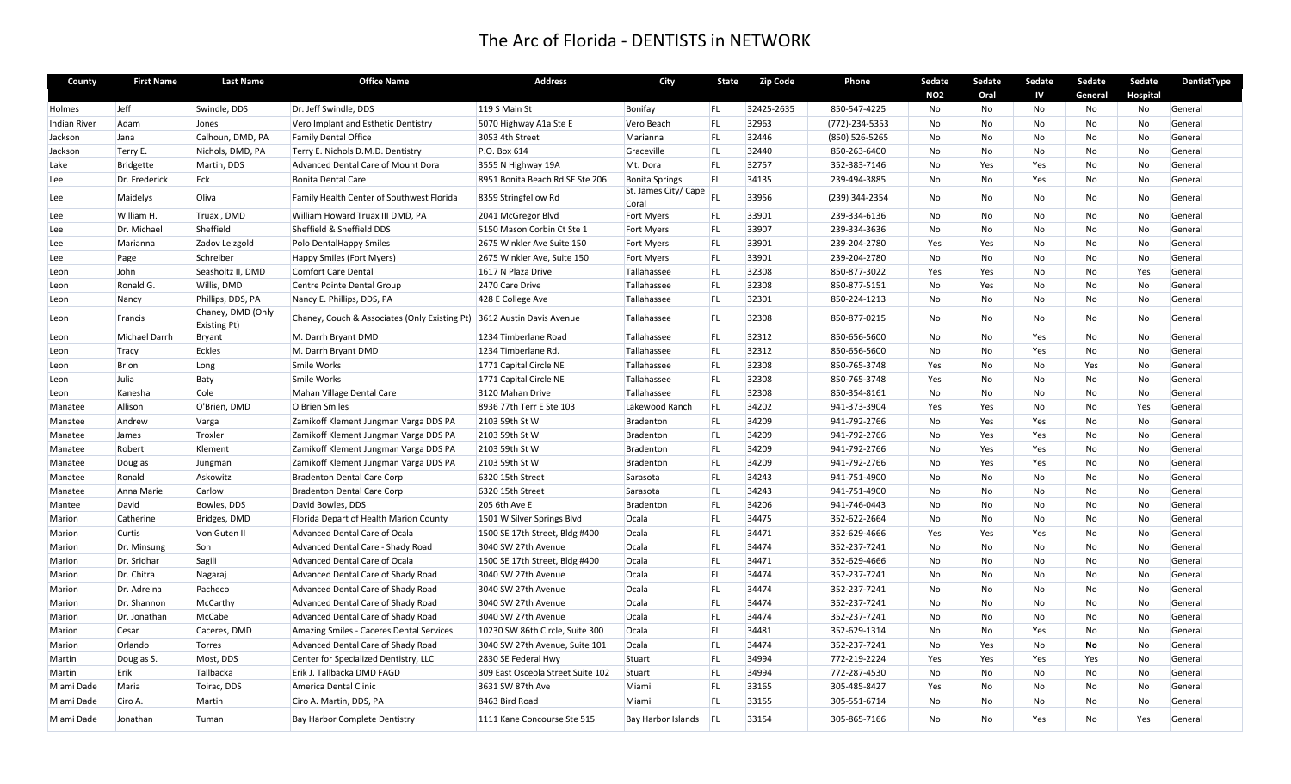| County        | <b>First Name</b> | <b>Last Name</b>                  | <b>Office Name</b>                            | <b>Address</b>                    | City                                          | <b>State</b> | <b>Zip Code</b> | Phone          | Sedate         | Sedate    | Sedate | Sedate    | Sedate   | DentistType |
|---------------|-------------------|-----------------------------------|-----------------------------------------------|-----------------------------------|-----------------------------------------------|--------------|-----------------|----------------|----------------|-----------|--------|-----------|----------|-------------|
|               |                   |                                   |                                               |                                   |                                               |              |                 |                | <b>NO2</b>     | Oral      | IV     | General   | Hospital |             |
| <b>Holmes</b> | Jeff              | Swindle, DDS                      | Dr. Jeff Swindle, DDS                         | 119 S Main St                     | Bonifay                                       | FL.          | 32425-2635      | 850-547-4225   | No             | No        | No     | No        | No       | General     |
| Indian River  | Adam              | Jones                             | Vero Implant and Esthetic Dentistry           | 5070 Highway A1a Ste E            | Vero Beach                                    | FL           | 32963           | (772)-234-5353 | No             | No        | No     | No        | No       | General     |
| Jackson       | Jana              | Calhoun, DMD, PA                  | <b>Family Dental Office</b>                   | 3053 4th Street                   | Marianna                                      | <b>FL</b>    | 32446           | (850) 526-5265 | No             | No        | No     | No        | No       | General     |
| Jackson       | Terry E.          | Nichols, DMD, PA                  | Terry E. Nichols D.M.D. Dentistry             | P.O. Box 614                      | Graceville                                    | <b>FL</b>    | 32440           | 850-263-6400   | No             | No        | No     | No        | No       | General     |
| Lake          | Bridgette         | Martin, DDS                       | Advanced Dental Care of Mount Dora            | 3555 N Highway 19A                | Mt. Dora                                      | FL           | 32757           | 352-383-7146   | No             | Yes       | Yes    | No        | No       | General     |
| Lee           | Dr. Frederick     | Eck                               | <b>Bonita Dental Care</b>                     | 8951 Bonita Beach Rd SE Ste 206   | <b>Bonita Springs</b><br>St. James City/ Cape | <b>FL</b>    | 34135           | 239-494-3885   | <b>No</b>      | <b>No</b> | Yes    | <b>No</b> | No       | General     |
| Lee           | Maidelys          | Oliva                             | Family Health Center of Southwest Florida     | 8359 Stringfellow Rd              | Coral                                         | FI           | 33956           | (239) 344-2354 | No             | No        | No     | No        | No       | General     |
| Lee           | William H.        | Truax, DMD                        | William Howard Truax III DMD, PA              | 2041 McGregor Blvd                | <b>Fort Myers</b>                             | FL           | 33901           | 239-334-6136   | <b>No</b>      | <b>No</b> | No     | No        | No       | General     |
| Lee           | Dr. Michael       | Sheffield                         | Sheffield & Sheffield DDS                     | 5150 Mason Corbin Ct Ste 1        | <b>Fort Myers</b>                             | FL           | 33907           | 239-334-3636   | No             | No        | No     | No        | No       | General     |
| Lee           | Marianna          | Zadov Leizgold                    | Polo DentalHappy Smiles                       | 2675 Winkler Ave Suite 150        | Fort Myers                                    | FL           | 33901           | 239-204-2780   | Yes            | Yes       | No     | No        | No       | General     |
| Lee           | Page              | Schreiber                         | Happy Smiles (Fort Myers)                     | 2675 Winkler Ave, Suite 150       | <b>Fort Myers</b>                             | FL           | 33901           | 239-204-2780   | No             | No        | No     | No        | No       | General     |
| Leon          | John              | Seasholtz II, DMD                 | <b>Comfort Care Dental</b>                    | 1617 N Plaza Drive                | Tallahassee                                   | FL           | 32308           | 850-877-3022   | Yes            | Yes       | No     | No        | Yes      | General     |
| Leon          | Ronald G.         | Willis, DMD                       | Centre Pointe Dental Group                    | 2470 Care Drive                   | Tallahassee                                   | <b>FL</b>    | 32308           | 850-877-5151   | <b>No</b>      | Yes       | No     | <b>No</b> | No       | General     |
| Leon          | Nancy             | Phillips, DDS, PA                 | Nancy E. Phillips, DDS, PA                    | 428 E College Ave                 | Tallahassee                                   | FL.          | 32301           | 850-224-1213   | No             | No        | No     | No        | No       | General     |
| Leon          | Francis           | Chaney, DMD (Only<br>Existing Pt) | Chaney, Couch & Associates (Only Existing Pt) | 3612 Austin Davis Avenue          | Tallahassee                                   | <b>FL</b>    | 32308           | 850-877-0215   | No             | No        | No     | No        | No       | General     |
| Leon          | Michael Darrh     | <b>Bryant</b>                     | M. Darrh Bryant DMD                           | 1234 Timberlane Road              | Tallahassee                                   | FL           | 32312           | 850-656-5600   | No             | No        | Yes    | No        | No       | General     |
| Leon          | Tracy             | <b>Eckles</b>                     | M. Darrh Bryant DMD                           | 1234 Timberlane Rd.               | Tallahassee                                   | <b>FL</b>    | 32312           | 850-656-5600   | N <sub>0</sub> | <b>No</b> | Yes    | No        | No       | General     |
| Leon          | <b>Brion</b>      | Long                              | Smile Works                                   | 1771 Capital Circle NE            | Tallahassee                                   | FL.          | 32308           | 850-765-3748   | Yes            | <b>No</b> | No     | Yes       | No       | General     |
| Leon          | Julia             | Baty                              | Smile Works                                   | 1771 Capital Circle NE            | Tallahassee                                   | <b>FL</b>    | 32308           | 850-765-3748   | Yes            | No        | No     | No        | No       | General     |
| Leon          | Kanesha           | Cole                              | Mahan Village Dental Care                     | 3120 Mahan Drive                  | Tallahassee                                   | FL           | 32308           | 850-354-8161   | N <sub>0</sub> | No        | No     | No        | No       | General     |
| Manatee       | Allison           | O'Brien, DMD                      | O'Brien Smiles                                | 8936 77th Terr E Ste 103          | Lakewood Ranch                                | <b>FL</b>    | 34202           | 941-373-3904   | Yes            | Yes       | No     | No        | Yes      | General     |
| Manatee       | Andrew            | Varga                             | Zamikoff Klement Jungman Varga DDS PA         | 2103 59th St W                    | Bradenton                                     | <b>FL</b>    | 34209           | 941-792-2766   | No             | Yes       | Yes    | No        | No       | General     |
| Manatee       | James             | Troxler                           | Zamikoff Klement Jungman Varga DDS PA         | 2103 59th St W                    | Bradenton                                     | FL           | 34209           | 941-792-2766   | No             | Yes       | Yes    | No        | No       | General     |
| Manatee       | Robert            | Klement                           | Zamikoff Klement Jungman Varga DDS PA         | 2103 59th St W                    | Bradenton                                     | <b>FL</b>    | 34209           | 941-792-2766   | No             | Yes       | Yes    | No        | No       | General     |
| Manatee       | Douglas           | Jungman                           | Zamikoff Klement Jungman Varga DDS PA         | 2103 59th St W                    | Bradenton                                     | <b>FL</b>    | 34209           | 941-792-2766   | No             | Yes       | Yes    | No        | No       | General     |
| Manatee       | Ronald            | Askowitz                          | <b>Bradenton Dental Care Corp</b>             | 6320 15th Street                  | Sarasota                                      | <b>FL</b>    | 34243           | 941-751-4900   | No             | No        | No     | No        | No       | General     |
| Manatee       | Anna Marie        | Carlow                            | <b>Bradenton Dental Care Corp</b>             | 6320 15th Street                  | Sarasota                                      | <b>FL</b>    | 34243           | 941-751-4900   | No             | No        | No     | No        | No       | General     |
| Mantee        | David             | Bowles, DDS                       | David Bowles, DDS                             | 205 6th Ave E                     | Bradenton                                     | <b>FL</b>    | 34206           | 941-746-0443   | No             | No        | No     | No        | No       | General     |
| Marion        | Catherine         | Bridges, DMD                      | Florida Depart of Health Marion County        | 1501 W Silver Springs Blvd        | Ocala                                         | <b>FL</b>    | 34475           | 352-622-2664   | <b>No</b>      | <b>No</b> | No     | No        | No       | General     |
| Marion        | Curtis            | Von Guten II                      | Advanced Dental Care of Ocala                 | 1500 SE 17th Street, Bldg #400    | Ocala                                         | <b>FL</b>    | 34471           | 352-629-4666   | Yes            | Yes       | Yes    | No        | No       | General     |
| Marion        | Dr. Minsung       | Son                               | Advanced Dental Care - Shady Road             | 3040 SW 27th Avenue               | Ocala                                         | <b>FL</b>    | 34474           | 352-237-7241   | <b>No</b>      | <b>No</b> | No     | No        | No       | General     |
| Marion        | Dr. Sridhar       | Sagili                            | Advanced Dental Care of Ocala                 | 1500 SE 17th Street, Bldg #400    | Ocala                                         | FL           | 34471           | 352-629-4666   | No             | No        | No     | No        | No       | General     |
| Marion        | Dr. Chitra        | Nagaraj                           | Advanced Dental Care of Shady Road            | 3040 SW 27th Avenue               | Ocala                                         | FL           | 34474           | 352-237-7241   | No             | No        | No     | No        | No       | General     |
| Marion        | Dr. Adreina       | Pacheco                           | Advanced Dental Care of Shady Road            | 3040 SW 27th Avenue               | Ocala                                         | <b>FL</b>    | 34474           | 352-237-7241   | <b>No</b>      | <b>No</b> | No     | No        | No       | General     |
| Marion        | Dr. Shannon       | McCarthy                          | Advanced Dental Care of Shady Road            | 3040 SW 27th Avenue               | Ocala                                         | FL           | 34474           | 352-237-7241   | No             | No        | No     | No        | No       | General     |
| Marion        | Dr. Jonathan      | McCabe                            | Advanced Dental Care of Shady Road            | 3040 SW 27th Avenue               | Ocala                                         | <b>FL</b>    | 34474           | 352-237-7241   | No             | No        | No     | No        | No       | General     |
| Marion        | Cesar             | Caceres, DMD                      | Amazing Smiles - Caceres Dental Services      | 10230 SW 86th Circle, Suite 300   | Ocala                                         | <b>FL</b>    | 34481           | 352-629-1314   | No             | <b>No</b> | Yes    | <b>No</b> | No       | General     |
| Marion        | Orlando           | Torres                            | Advanced Dental Care of Shady Road            | 3040 SW 27th Avenue, Suite 101    | Ocala                                         | FL           | 34474           | 352-237-7241   | No             | Yes       | No     | No        | No       | General     |
| Martin        | Douglas S.        | Most, DDS                         | Center for Specialized Dentistry, LLC         | 2830 SE Federal Hwy               | Stuart                                        | <b>FL</b>    | 34994           | 772-219-2224   | Yes            | Yes       | Yes    | Yes       | No       | General     |
| Martin        | Erik              | Tallbacka                         | Erik J. Tallbacka DMD FAGD                    | 309 East Osceola Street Suite 102 | Stuart                                        | FL           | 34994           | 772-287-4530   | No             | No        | No     | No        | No       | General     |
| Miami Dade    | Maria             | Toirac, DDS                       | America Dental Clinic                         | 3631 SW 87th Ave                  | Miami                                         | <b>FL</b>    | 33165           | 305-485-8427   | Yes            | No        | No     | No        | No       | General     |
| Miami Dade    | Ciro A.           | Martin                            | Ciro A. Martin, DDS, PA                       | 8463 Bird Road                    | Miami                                         | <b>FL</b>    | 33155           | 305-551-6714   | No             | No        | No     | No        | No       | General     |
| Miami Dade    | Jonathan          | Tuman                             | <b>Bay Harbor Complete Dentistry</b>          | 1111 Kane Concourse Ste 515       | Bay Harbor Islands FL                         |              | 33154           | 305-865-7166   | No             | <b>No</b> | Yes    | No        | Yes      | General     |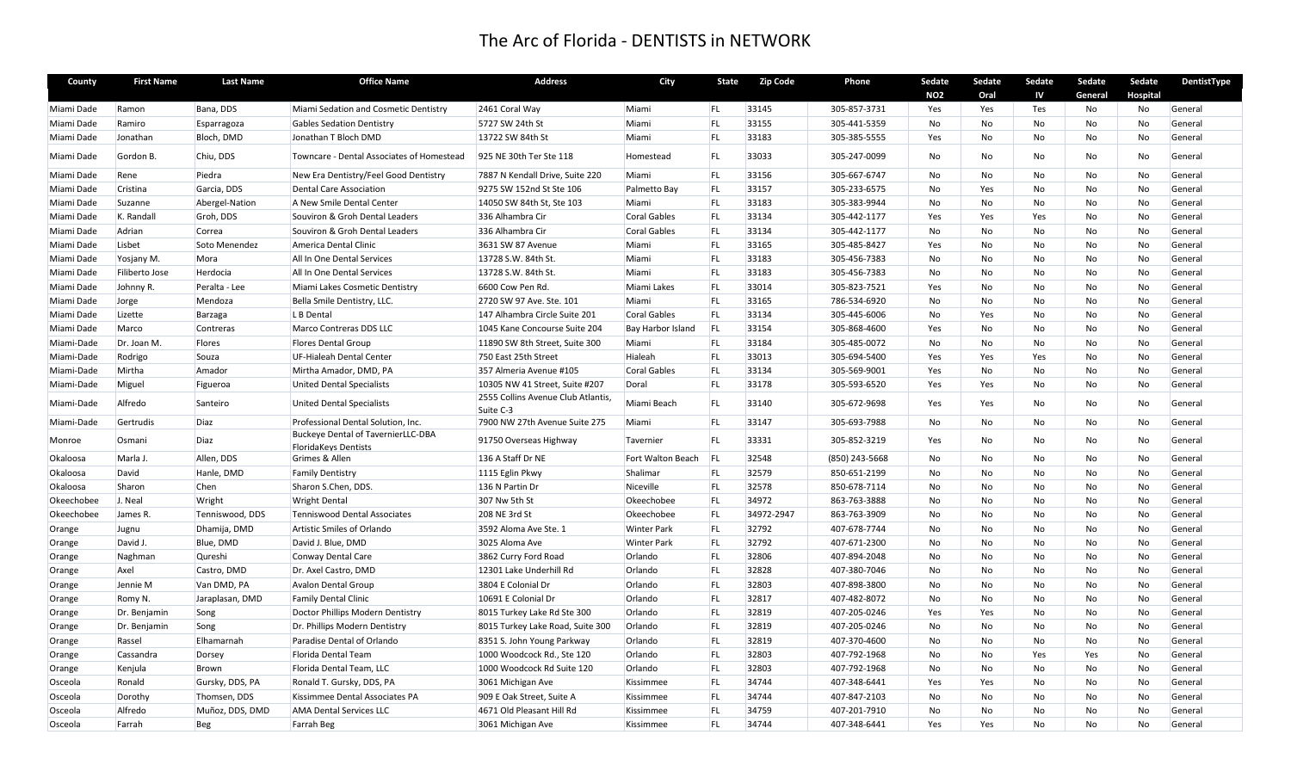| County     | <b>First Name</b> | <b>Last Name</b> | <b>Office Name</b>                                                       | <b>Address</b>                                  | City                | State      | <b>Zip Code</b> | Phone          | Sedate     | Sedate         | Sedate | Sedate    | Sedate          | DentistType |
|------------|-------------------|------------------|--------------------------------------------------------------------------|-------------------------------------------------|---------------------|------------|-----------------|----------------|------------|----------------|--------|-----------|-----------------|-------------|
|            |                   |                  |                                                                          |                                                 |                     |            |                 |                | <b>NO2</b> | Oral           | IV     | General   | <b>Hospital</b> |             |
| Miami Dade | Ramon             | Bana, DDS        | Miami Sedation and Cosmetic Dentistry                                    | 2461 Coral Way                                  | Miami               | <b>FL</b>  | 33145           | 305-857-3731   | Yes        | Yes            | Tes    | No        | No              | General     |
| Miami Dade | Ramiro            | Esparragoza      | <b>Gables Sedation Dentistry</b>                                         | 5727 SW 24th St                                 | Miami               | <b>FL</b>  | 33155           | 305-441-5359   | No         | No             | No     | No        | No              | General     |
| Miami Dade | Jonathan          | Bloch, DMD       | Jonathan T Bloch DMD                                                     | 13722 SW 84th St                                | Miami               | <b>FL</b>  | 33183           | 305-385-5555   | Yes        | N <sub>o</sub> | No     | No        | No              | General     |
| Miami Dade | Gordon B.         | Chiu, DDS        | Towncare - Dental Associates of Homestead                                | 925 NE 30th Ter Ste 118                         | Homestead           | FL.        | 33033           | 305-247-0099   | No         | No             | No     | No        | No              | General     |
| Miami Dade | Rene              | Piedra           | New Era Dentistry/Feel Good Dentistry                                    | 7887 N Kendall Drive, Suite 220                 | Miami               | <b>FL</b>  | 33156           | 305-667-6747   | No         | No             | No     | No        | No              | General     |
| Miami Dade | Cristina          | Garcia, DDS      | Dental Care Association                                                  | 9275 SW 152nd St Ste 106                        | Palmetto Bay        | FL.        | 33157           | 305-233-6575   | <b>No</b>  | Yes            | No     | No        | No              | General     |
| Miami Dade | Suzanne           | Abergel-Nation   | A New Smile Dental Center                                                | 14050 SW 84th St, Ste 103                       | Miami               | <b>FL</b>  | 33183           | 305-383-9944   | No         | No             | No     | No        | No              | General     |
| Miami Dade | K. Randall        | Groh, DDS        | Souviron & Groh Dental Leaders                                           | 336 Alhambra Cir                                | Coral Gables        | FL         | 33134           | 305-442-1177   | Yes        | Yes            | Yes    | No        | No              | General     |
| Miami Dade | Adrian            | Correa           | Souviron & Groh Dental Leaders                                           | 336 Alhambra Cir                                | Coral Gables        | FL.        | 33134           | 305-442-1177   | No         | No             | No     | No        | No              | General     |
| Miami Dade | Lisbet            | Soto Menendez    | America Dental Clinic                                                    | 3631 SW 87 Avenue                               | Miami               | <b>FL</b>  | 33165           | 305-485-8427   | Yes        | No             | No     | No        | No              | General     |
| Miami Dade | Yosjany M.        | Mora             | All In One Dental Services                                               | 13728 S.W. 84th St.                             | Miami               | <b>FL</b>  | 33183           | 305-456-7383   | No         | No             | No     | <b>No</b> | No              | General     |
| Miami Dade | Filiberto Jose    | Herdocia         | All In One Dental Services                                               | 13728 S.W. 84th St.                             | Miami               | <b>FL</b>  | 33183           | 305-456-7383   | No         | No             | No     | No        | No              | General     |
| Miami Dade | Johnny R.         | Peralta - Lee    | Miami Lakes Cosmetic Dentistry                                           | 6600 Cow Pen Rd.                                | Miami Lakes         | FL.        | 33014           | 305-823-7521   | Yes        | No             | No     | No        | No              | General     |
| Miami Dade | Jorge             | Mendoza          | Bella Smile Dentistry, LLC.                                              | 2720 SW 97 Ave. Ste. 101                        | Miami               | <b>FL</b>  | 33165           | 786-534-6920   | <b>No</b>  | <b>No</b>      | No     | <b>No</b> | No              | General     |
| Miami Dade | Lizette           | <b>Barzaga</b>   | L B Dental                                                               | 147 Alhambra Circle Suite 201                   | Coral Gables        | <b>FL</b>  | 33134           | 305-445-6006   | <b>No</b>  | Yes            | No     | No        | No              | General     |
| Miami Dade | Marco             | Contreras        | Marco Contreras DDS LLC                                                  | 1045 Kane Concourse Suite 204                   | Bay Harbor Island   | <b>FL</b>  | 33154           | 305-868-4600   | Yes        | No             | No     | No        | No              | General     |
| Miami-Dade | Dr. Joan M.       | <b>Flores</b>    | <b>Flores Dental Group</b>                                               | 11890 SW 8th Street, Suite 300                  | Miami               | FL         | 33184           | 305-485-0072   | No         | No             | No     | No        | No              | General     |
| Miami-Dade | Rodrigo           | Souza            | UF-Hialeah Dental Center                                                 | 750 East 25th Street                            | Hialeah             | <b>FL</b>  | 33013           | 305-694-5400   | Yes        | Yes            | Yes    | No        | No              | General     |
| Miami-Dade | Mirtha            | Amador           | Mirtha Amador, DMD, PA                                                   | 357 Almeria Avenue #105                         | <b>Coral Gables</b> | <b>FL</b>  | 33134           | 305-569-9001   | Yes        | No             | No     | No        | <b>No</b>       | General     |
| Miami-Dade | Miguel            | Figueroa         | <b>United Dental Specialists</b>                                         | 10305 NW 41 Street, Suite #207                  | Doral               | <b>FL</b>  | 33178           | 305-593-6520   | Yes        | Yes            | No     | No        | No              | General     |
| Miami-Dade | Alfredo           | Santeiro         | <b>United Dental Specialists</b>                                         | 2555 Collins Avenue Club Atlantis,<br>Suite C-3 | Miami Beach         | <b>FL</b>  | 33140           | 305-672-9698   | Yes        | Yes            | No     | No        | No              | General     |
| Miami-Dade | Gertrudis         | Diaz             | Professional Dental Solution, Inc.                                       | 7900 NW 27th Avenue Suite 275                   | Miami               | <b>FL</b>  | 33147           | 305-693-7988   | No         | No             | No     | No        | No              | General     |
| Monroe     | Osmani            | Diaz             | <b>Buckeye Dental of TavernierLLC-DBA</b><br><b>FloridaKeys Dentists</b> | 91750 Overseas Highway                          | Tavernier           | <b>FL</b>  | 33331           | 305-852-3219   | Yes        | No             | No     | No        | No              | General     |
| Okaloosa   | Marla J.          | Allen, DDS       | Grimes & Allen                                                           | 136 A Staff Dr NE                               | Fort Walton Beach   | <b>IFL</b> | 32548           | (850) 243-5668 | No         | No             | No     | No        | No              | General     |
| Okaloosa   | David             | Hanle, DMD       | <b>Family Dentistry</b>                                                  | 1115 Eglin Pkwy                                 | Shalimar            | <b>FL</b>  | 32579           | 850-651-2199   | <b>No</b>  | <b>No</b>      | No     | <b>No</b> | No              | General     |
| Okaloosa   | Sharon            | Chen             | Sharon S.Chen, DDS.                                                      | 136 N Partin Dr                                 | Niceville           | FL         | 32578           | 850-678-7114   | No         | No             | No     | No        | No              | General     |
| Okeechobee | J. Neal           | Wright           | <b>Wright Dental</b>                                                     | 307 Nw 5th St                                   | Okeechobee          | FL         | 34972           | 863-763-3888   | No         | No             | No     | No        | No              | General     |
| Okeechobee | James R.          | Tenniswood, DDS  | Tenniswood Dental Associates                                             | 208 NE 3rd St                                   | Okeechobee          | FL         | 34972-2947      | 863-763-3909   | No         | No             | No     | No        | No              | General     |
| Orange     | Jugnu             | Dhamija, DMD     | Artistic Smiles of Orlando                                               | 3592 Aloma Ave Ste. 1                           | <b>Winter Park</b>  | <b>FL</b>  | 32792           | 407-678-7744   | <b>No</b>  | <b>No</b>      | No     | No        | No              | General     |
| Orange     | David J.          | Blue, DMD        | David J. Blue, DMD                                                       | 3025 Aloma Ave                                  | <b>Winter Park</b>  | <b>FL</b>  | 32792           | 407-671-2300   | No         | No             | No     | No        | No              | General     |
| Orange     | Naghman           | Qureshi          | Conway Dental Care                                                       | 3862 Curry Ford Road                            | Orlando             | FL         | 32806           | 407-894-2048   | No         | No             | No     | No        | No              | General     |
| Orange     | Axel              | Castro, DMD      | Dr. Axel Castro, DMD                                                     | 12301 Lake Underhill Rd                         | Orlando             | FL         | 32828           | 407-380-7046   | No         | No             | No     | No        | No              | General     |
| Orange     | Jennie M          | Van DMD, PA      | <b>Avalon Dental Group</b>                                               | 3804 E Colonial Dr                              | Orlando             | <b>FL</b>  | 32803           | 407-898-3800   | <b>No</b>  | <b>No</b>      | No     | <b>No</b> | No              | General     |
| Orange     | Romy N.           | Jaraplasan, DMD  | <b>Family Dental Clinic</b>                                              | 10691 E Colonial Dr                             | Orlando             | <b>FL</b>  | 32817           | 407-482-8072   | No         | No             | No     | No        | No              | General     |
| Orange     | Dr. Benjamin      | Song             | Doctor Phillips Modern Dentistry                                         | 8015 Turkey Lake Rd Ste 300                     | Orlando             | FL.        | 32819           | 407-205-0246   | Yes        | Yes            | No     | No        | No              | General     |
| Orange     | Dr. Benjamin      | Song             | Dr. Phillips Modern Dentistry                                            | 8015 Turkey Lake Road, Suite 300                | Orlando             | <b>FL</b>  | 32819           | 407-205-0246   | No         | No             | No     | No        | No              | General     |
| Orange     | Rassel            | Elhamarnah       | Paradise Dental of Orlando                                               | 8351 S. John Young Parkway                      | Orlando             | <b>FL</b>  | 32819           | 407-370-4600   | No         | <b>No</b>      | No     | <b>No</b> | No              | General     |
| Orange     | Cassandra         | Dorsey           | Florida Dental Team                                                      | 1000 Woodcock Rd., Ste 120                      | Orlando             | <b>FL</b>  | 32803           | 407-792-1968   | No         | No             | Yes    | Yes       | No              | General     |
| Orange     | Kenjula           | Brown            | Florida Dental Team, LLC                                                 | 1000 Woodcock Rd Suite 120                      | Orlando             | <b>FL</b>  | 32803           | 407-792-1968   | No         | No             | No     | No        | No              | General     |
| Osceola    | Ronald            | Gursky, DDS, PA  | Ronald T. Gursky, DDS, PA                                                | 3061 Michigan Ave                               | Kissimmee           | FL.        | 34744           | 407-348-6441   | Yes        | Yes            | No     | No        | No              | General     |
| Osceola    | Dorothy           | Thomsen, DDS     | Kissimmee Dental Associates PA                                           | 909 E Oak Street, Suite A                       | Kissimmee           | <b>FL</b>  | 34744           | 407-847-2103   | No         | No             | No     | No        | No              | General     |
| Osceola    | Alfredo           | Muñoz, DDS, DMD  | <b>AMA Dental Services LLC</b>                                           | 4671 Old Pleasant Hill Rd                       | Kissimmee           | <b>FL</b>  | 34759           | 407-201-7910   | No         | No             | No     | No        | No              | General     |
| Osceola    | Farrah            | <b>Beg</b>       | <b>Farrah Beg</b>                                                        | 3061 Michigan Ave                               | Kissimmee           | FL.        | 34744           | 407-348-6441   | Yes        | Yes            | No     | No        | No              | General     |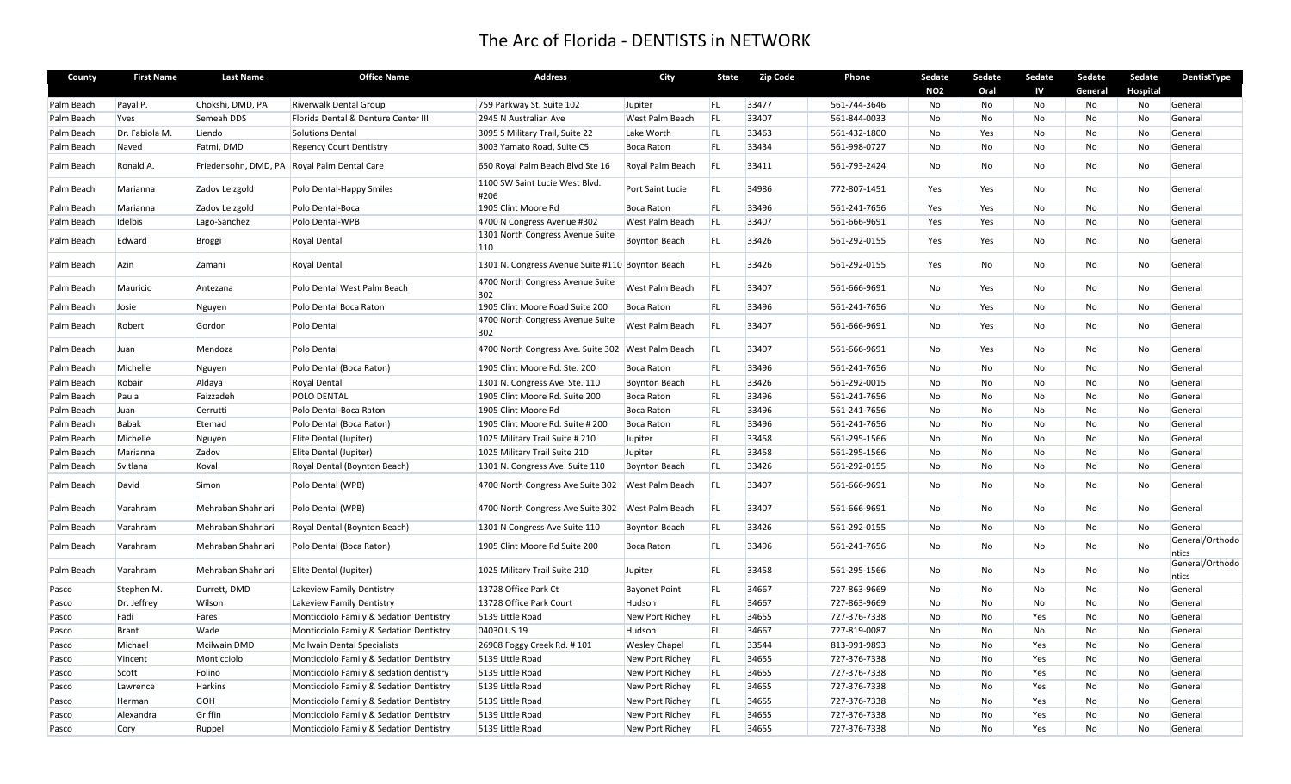| County     | <b>First Name</b> | <b>Last Name</b>     | <b>Office Name</b>                      | <b>Address</b>                                     | City                   | State     | <b>Zip Code</b> | Phone        | Sedate     | Sedate    | Sedate | Sedate    | Sedate   | DentistType              |
|------------|-------------------|----------------------|-----------------------------------------|----------------------------------------------------|------------------------|-----------|-----------------|--------------|------------|-----------|--------|-----------|----------|--------------------------|
|            |                   |                      |                                         |                                                    |                        |           |                 |              | <b>NO2</b> | Oral      | IV     | General   | Hospital |                          |
| Palm Beach | Payal P.          | Chokshi, DMD, PA     | <b>Riverwalk Dental Group</b>           | 759 Parkway St. Suite 102                          | Jupiter                | FL.       | 33477           | 561-744-3646 | No         | No        | No     | No        | No       | General                  |
| Palm Beach | Yves              | Semeah DDS           | Florida Dental & Denture Center III     | 2945 N Australian Ave                              | <b>West Palm Beach</b> | <b>FL</b> | 33407           | 561-844-0033 | <b>No</b>  | <b>No</b> | No     | No        | No       | General                  |
| Palm Beach | Dr. Fabiola M.    | Liendo               | <b>Solutions Dental</b>                 | 3095 S Military Trail, Suite 22                    | Lake Worth             | <b>FL</b> | 33463           | 561-432-1800 | No         | Yes       | No     | No        | No       | General                  |
| Palm Beach | Naved             | Fatmi, DMD           | <b>Regency Court Dentistry</b>          | 3003 Yamato Road, Suite C5                         | <b>Boca Raton</b>      | FL.       | 33434           | 561-998-0727 | No         | No        | No     | No        | No       | General                  |
| Palm Beach | Ronald A.         | Friedensohn, DMD, PA | Royal Palm Dental Care                  | 650 Royal Palm Beach Blvd Ste 16                   | Royal Palm Beach       | <b>FL</b> | 33411           | 561-793-2424 | No         | No        | No     | No        | No       | General                  |
| Palm Beach | Marianna          | Zadov Leizgold       | Polo Dental-Happy Smiles                | 1100 SW Saint Lucie West Blvd.<br>#206             | Port Saint Lucie       | <b>FL</b> | 34986           | 772-807-1451 | Yes        | Yes       | No     | No        | No       | General                  |
| Palm Beach | Marianna          | Zadov Leizgold       | Polo Dental-Boca                        | 1905 Clint Moore Rd                                | <b>Boca Raton</b>      | <b>FL</b> | 33496           | 561-241-7656 | Yes        | Yes       | No     | No        | No       | General                  |
| Palm Beach | Idelbis           | Lago-Sanchez         | Polo Dental-WPB                         | 4700 N Congress Avenue #302                        | West Palm Beach        | <b>FL</b> | 33407           | 561-666-9691 | Yes        | Yes       | No     | No        | No       | General                  |
| Palm Beach | Edward            | <b>Broggi</b>        | Royal Dental                            | 1301 North Congress Avenue Suite<br>110            | <b>Boynton Beach</b>   | FL        | 33426           | 561-292-0155 | Yes        | Yes       | No     | No        | No       | General                  |
| Palm Beach | Azin              | Zamani               | Royal Dental                            | 1301 N. Congress Avenue Suite #110 Boynton Beach   |                        | FL        | 33426           | 561-292-0155 | Yes        | No        | No     | No        | No       | General                  |
| Palm Beach | Mauricio          | Antezana             | Polo Dental West Palm Beach             | 4700 North Congress Avenue Suite<br>302            | West Palm Beach        | <b>FL</b> | 33407           | 561-666-9691 | No         | Yes       | No     | No        | No       | General                  |
| Palm Beach | Josie             | Nguyen               | Polo Dental Boca Raton                  | 1905 Clint Moore Road Suite 200                    | <b>Boca Raton</b>      | <b>FL</b> | 33496           | 561-241-7656 | No         | Yes       | No     | No        | No       | General                  |
| Palm Beach | Robert            | Gordon               | Polo Dental                             | 4700 North Congress Avenue Suite<br>302            | West Palm Beach        | FL        | 33407           | 561-666-9691 | No         | Yes       | No     | No        | No       | General                  |
| Palm Beach | Juan              | Mendoza              | Polo Dental                             | 4700 North Congress Ave. Suite 302 West Palm Beach |                        | <b>FL</b> | 33407           | 561-666-9691 | No         | Yes       | No     | No        | No       | General                  |
| Palm Beach | Michelle          | Nguyen               | Polo Dental (Boca Raton)                | 1905 Clint Moore Rd. Ste. 200                      | <b>Boca Raton</b>      | <b>FL</b> | 33496           | 561-241-7656 | No         | No        | No     | No        | No       | General                  |
| Palm Beach | Robair            | Aldaya               | <b>Royal Dental</b>                     | 1301 N. Congress Ave. Ste. 110                     | <b>Boynton Beach</b>   | <b>FL</b> | 33426           | 561-292-0015 | <b>No</b>  | <b>No</b> | No     | No        | No       | General                  |
| Palm Beach | Paula             | Faizzadeh            | POLO DENTAL                             | 1905 Clint Moore Rd. Suite 200                     | <b>Boca Raton</b>      | FL        | 33496           | 561-241-7656 | <b>No</b>  | <b>No</b> | No     | No        | No       | General                  |
| Palm Beach | Juan              | Cerrutti             | Polo Dental-Boca Raton                  | 1905 Clint Moore Rd                                | <b>Boca Raton</b>      | <b>FL</b> | 33496           | 561-241-7656 | No         | No        | No     | No        | No       | General                  |
| Palm Beach | <b>Babak</b>      | Etemad               | Polo Dental (Boca Raton)                | 1905 Clint Moore Rd. Suite # 200                   | <b>Boca Raton</b>      | <b>FL</b> | 33496           | 561-241-7656 | <b>No</b>  | No        | No     | No        | No       | General                  |
| Palm Beach | Michelle          | Nguyen               | Elite Dental (Jupiter)                  | 1025 Military Trail Suite # 210                    | Jupiter                | <b>FL</b> | 33458           | 561-295-1566 | No         | No        | No     | No        | No       | General                  |
| Palm Beach | Marianna          | Zadov                | Elite Dental (Jupiter)                  | 1025 Military Trail Suite 210                      | Jupiter                | FL        | 33458           | 561-295-1566 | No         | No        | No     | No        | No       | General                  |
| Palm Beach | Svitlana          | Koval                | Royal Dental (Boynton Beach)            | 1301 N. Congress Ave. Suite 110                    | <b>Boynton Beach</b>   | <b>FL</b> | 33426           | 561-292-0155 | No         | No        | No     | No        | No       | General                  |
| Palm Beach | David             | Simon                | Polo Dental (WPB)                       | 4700 North Congress Ave Suite 302                  | <b>West Palm Beach</b> | <b>FL</b> | 33407           | 561-666-9691 | No         | No.       | No     | No        | No       | General                  |
| Palm Beach | Varahram          | Mehraban Shahriari   | Polo Dental (WPB)                       | 4700 North Congress Ave Suite 302 West Palm Beach  |                        | <b>FL</b> | 33407           | 561-666-9691 | No         | No        | No     | No        | No       | General                  |
| Palm Beach | Varahram          | Mehraban Shahriari   | Royal Dental (Boynton Beach)            | 1301 N Congress Ave Suite 110                      | <b>Boynton Beach</b>   | FL        | 33426           | 561-292-0155 | No         | No        | No     | No        | No       | General                  |
| Palm Beach | Varahram          | Mehraban Shahriari   | Polo Dental (Boca Raton)                | 1905 Clint Moore Rd Suite 200                      | <b>Boca Raton</b>      | <b>FL</b> | 33496           | 561-241-7656 | No         | No        | No     | No        | No       | General/Orthodo<br>ntics |
| Palm Beach | Varahram          | Mehraban Shahriari   | Elite Dental (Jupiter)                  | 1025 Military Trail Suite 210                      | Jupiter                | FL        | 33458           | 561-295-1566 | No         | No        | No     | No        | No       | General/Orthodo<br>ntics |
| Pasco      | Stephen M.        | Durrett, DMD         | Lakeview Family Dentistry               | 13728 Office Park Ct                               | <b>Bayonet Point</b>   | FL        | 34667           | 727-863-9669 | No         | No        | No     | No        | No       | General                  |
| Pasco      | Dr. Jeffrey       | Wilson               | Lakeview Family Dentistry               | 13728 Office Park Court                            | Hudson                 | FL.       | 34667           | 727-863-9669 | No         | No        | No     | No        | No       | General                  |
| Pasco      | Fadi              | Fares                | Monticciolo Family & Sedation Dentistry | 5139 Little Road                                   | New Port Richey        | FL        | 34655           | 727-376-7338 | No         | No        | Yes    | No        | No       | General                  |
| Pasco      | Brant             | Wade                 | Monticciolo Family & Sedation Dentistry | 04030 US 19                                        | Hudson                 | FL.       | 34667           | 727-819-0087 | No         | No        | No     | No        | No       | General                  |
| Pasco      | Michael           | <b>Mcilwain DMD</b>  | <b>Mcilwain Dental Specialists</b>      | 26908 Foggy Creek Rd. #101                         | <b>Wesley Chapel</b>   | FL        | 33544           | 813-991-9893 | No         | No        | Yes    | No        | No       | General                  |
| Pasco      | Vincent           | Monticciolo          | Monticciolo Family & Sedation Dentistry | 5139 Little Road                                   | New Port Richey        | FL.       | 34655           | 727-376-7338 | No         | No        | Yes    | No        | No       | General                  |
| Pasco      | Scott             | Folino               | Monticciolo Family & sedation dentistry | 5139 Little Road                                   | New Port Richey        | <b>FL</b> | 34655           | 727-376-7338 | No         | <b>No</b> | Yes    | No        | No       | General                  |
| Pasco      | Lawrence          | <b>Harkins</b>       | Monticciolo Family & Sedation Dentistry | 5139 Little Road                                   | New Port Richey        | FL.       | 34655           | 727-376-7338 | No         | No        | Yes    | No        | No       | General                  |
| Pasco      | Herman            | GOH                  | Monticciolo Family & Sedation Dentistry | 5139 Little Road                                   | New Port Richey        | FL        | 34655           | 727-376-7338 | No         | No        | Yes    | No        | No       | General                  |
| Pasco      | Alexandra         | Griffin              | Monticciolo Family & Sedation Dentistry | 5139 Little Road                                   | New Port Richey        | <b>FL</b> | 34655           | 727-376-7338 | <b>No</b>  | <b>No</b> | Yes    | <b>No</b> | No       | General                  |
| Pasco      | Cory              | Ruppel               | Monticciolo Family & Sedation Dentistry | 5139 Little Road                                   | New Port Richey        | FL.       | 34655           | 727-376-7338 | <b>No</b>  | <b>No</b> | Yes    | <b>No</b> | No       | General                  |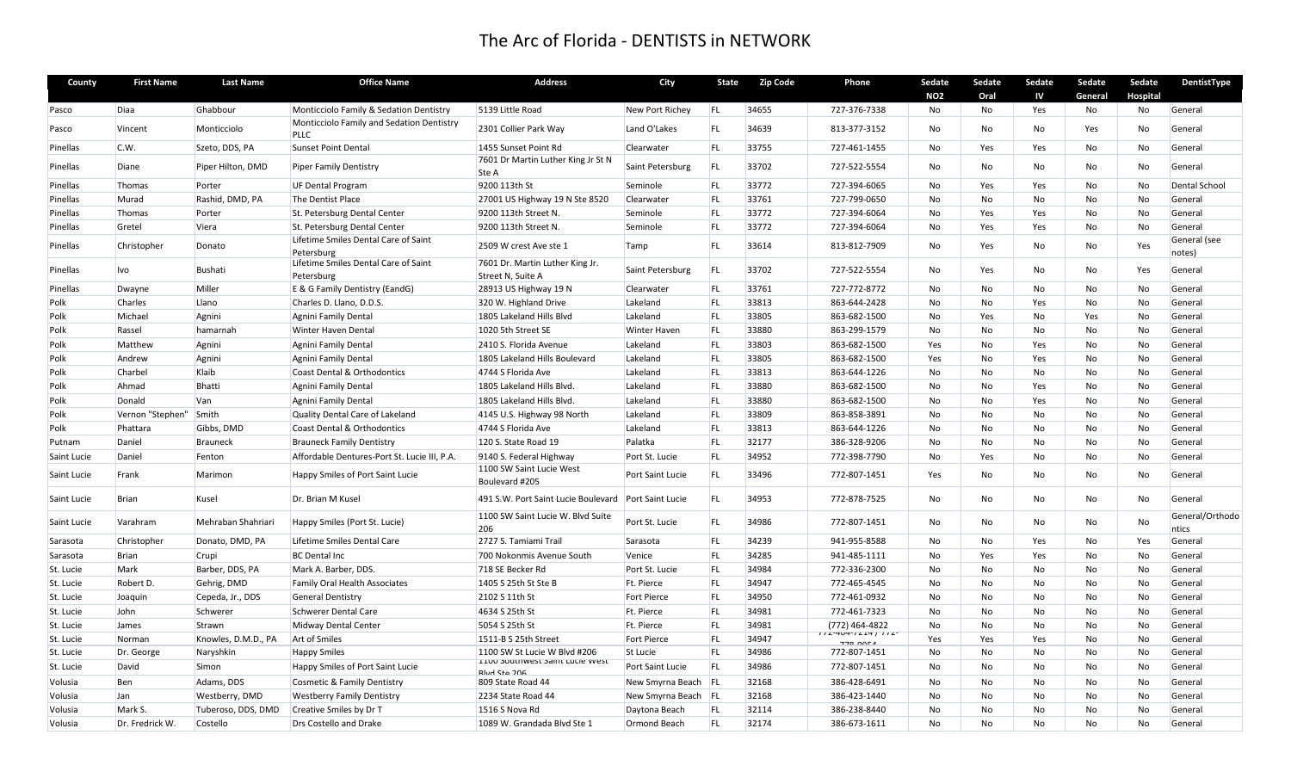| County      | <b>First Name</b> | <b>Last Name</b>    | <b>Office Name</b>                                | <b>Address</b>                                                | City                | State      | <b>Zip Code</b> | Phone                                           | Sedate     | Sedate         | Sedate    | Sedate  | Sedate   | <b>DentistType</b>       |
|-------------|-------------------|---------------------|---------------------------------------------------|---------------------------------------------------------------|---------------------|------------|-----------------|-------------------------------------------------|------------|----------------|-----------|---------|----------|--------------------------|
|             |                   |                     |                                                   |                                                               |                     |            |                 |                                                 | <b>NO2</b> | Oral           | IV        | General | Hospital |                          |
| Pasco       | Diaa              | Ghabbour            | Monticciolo Family & Sedation Dentistry           | 5139 Little Road                                              | New Port Richey     | FL         | 34655           | 727-376-7338                                    | No         | No             | Yes       | No      | No       | General                  |
| Pasco       | Vincent           | Monticciolo         | Monticciolo Family and Sedation Dentistry<br>PLLC | 2301 Collier Park Way                                         | Land O'Lakes        | FL         | 34639           | 813-377-3152                                    | No         | No             | <b>No</b> | Yes     | No       | General                  |
| Pinellas    | C.W.              | Szeto, DDS, PA      | <b>Sunset Point Dental</b>                        | 1455 Sunset Point Rd                                          | Clearwater          | FL         | 33755           | 727-461-1455                                    | No         | Yes            | Yes       | No      | No       | General                  |
| Pinellas    | Diane             | Piper Hilton, DMD   | <b>Piper Family Dentistry</b>                     | 7601 Dr Martin Luther King Jr St N<br>Ste A                   | Saint Petersburg    | <b>FL</b>  | 33702           | 727-522-5554                                    | No         | No             | No        | No      | No       | General                  |
| Pinellas    | Thomas            | Porter              | <b>UF Dental Program</b>                          | 9200 113th St                                                 | Seminole            | <b>FL</b>  | 33772           | 727-394-6065                                    | No         | Yes            | Yes       | No      | No       | Dental School            |
| Pinellas    | Murad             | Rashid, DMD, PA     | The Dentist Place                                 | 27001 US Highway 19 N Ste 8520                                | Clearwater          | FL         | 33761           | 727-799-0650                                    | No         | No             | No        | No      | No       | General                  |
| Pinellas    | Thomas            | Porter              | St. Petersburg Dental Center                      | 9200 113th Street N.                                          | Seminole            | FL         | 33772           | 727-394-6064                                    | No         | Yes            | Yes       | No      | No       | General                  |
| Pinellas    | Gretel            | Viera               | St. Petersburg Dental Center                      | 9200 113th Street N.                                          | Seminole            | <b>FL</b>  | 33772           | 727-394-6064                                    | No         | Yes            | Yes       | No      | No       | General                  |
| Pinellas    | Christopher       | Donato              | Lifetime Smiles Dental Care of Saint              | 2509 W crest Ave ste 1                                        | Tamp                | FL         | 33614           | 813-812-7909                                    | No         | Yes            | No        | No      | Yes      | General (see             |
|             |                   |                     | Petersburg                                        |                                                               |                     |            |                 |                                                 |            |                |           |         |          | notes)                   |
| Pinellas    | Ivo               | <b>Bushati</b>      | Lifetime Smiles Dental Care of Saint              | 7601 Dr. Martin Luther King Jr.                               | Saint Petersburg    | <b>FL</b>  | 33702           | 727-522-5554                                    | No         | Yes            | No        | No      | Yes      | General                  |
| Pinellas    | Dwayne            | Miller              | Petersburg<br>E & G Family Dentistry (EandG)      | Street N, Suite A<br>28913 US Highway 19 N                    | Clearwater          | <b>FL</b>  | 33761           | 727-772-8772                                    | No         | No             | No.       | No      | No       | General                  |
| Polk        | Charles           | Llano               | Charles D. Llano, D.D.S.                          | 320 W. Highland Drive                                         | Lakeland            | <b>FL</b>  | 33813           | 863-644-2428                                    | No         | No             | Yes       | No      | No       | General                  |
| Polk        | Michael           | Agnini              | Agnini Family Dental                              | 1805 Lakeland Hills Blvd                                      | Lakeland            | <b>FL</b>  | 33805           | 863-682-1500                                    | No         | Yes            | No        | Yes     | No       | General                  |
| Polk        | Rassel            | hamarnah            | <b>Winter Haven Dental</b>                        | 1020 5th Street SE                                            | <b>Winter Haven</b> | FL         | 33880           | 863-299-1579                                    | No         | No             | No        | No      | No       | General                  |
| Polk        | Matthew           | Agnini              | Agnini Family Dental                              | 2410 S. Florida Avenue                                        | Lakeland            | FL         | 33803           | 863-682-1500                                    | Yes        | No             | Yes       | No      | No       | General                  |
| Polk        | Andrew            | Agnini              | Agnini Family Dental                              | 1805 Lakeland Hills Boulevard                                 | Lakeland            | <b>FL</b>  | 33805           | 863-682-1500                                    | Yes        | No             | Yes       | No      | No       | General                  |
| Polk        | Charbel           | Klaib               | Coast Dental & Orthodontics                       | 4744 S Florida Ave                                            | Lakeland            | <b>FL</b>  | 33813           | 863-644-1226                                    | No         | No             | <b>No</b> | No      | No       | General                  |
| Polk        | Ahmad             | Bhatti              | Agnini Family Dental                              | 1805 Lakeland Hills Blvd.                                     | Lakeland            | <b>FL</b>  | 33880           | 863-682-1500                                    | No         | No             | Yes       | No      | No       | General                  |
| Polk        | Donald            | Van                 | Agnini Family Dental                              | 1805 Lakeland Hills Blvd.                                     | Lakeland            | FL         | 33880           | 863-682-1500                                    | No         | No             | Yes       | No      | No       | General                  |
| Polk        | Vernon "Stephen"  | Smith               | Quality Dental Care of Lakeland                   | 4145 U.S. Highway 98 North                                    | Lakeland            | <b>FL</b>  | 33809           | 863-858-3891                                    | No         | No             | No        | No      | No       | General                  |
| Polk        | Phattara          | Gibbs, DMD          | Coast Dental & Orthodontics                       | 4744 S Florida Ave                                            | Lakeland            | <b>FL</b>  | 33813           | 863-644-1226                                    | No         | No             | No        | No      | No       | General                  |
| Putnam      | Daniel            | <b>Brauneck</b>     | <b>Brauneck Family Dentistry</b>                  | 120 S. State Road 19                                          | Palatka             | FL         | 32177           | 386-328-9206                                    | No         | No             | No        | No      | No       | General                  |
| Saint Lucie | Daniel            | Fenton              | Affordable Dentures-Port St. Lucie III, P.A.      | 9140 S. Federal Highway                                       | Port St. Lucie      | <b>FL</b>  | 34952           | 772-398-7790                                    | No         | Yes            | No        | No      | No       | General                  |
| Saint Lucie | Frank             | Marimon             | Happy Smiles of Port Saint Lucie                  | 1100 SW Saint Lucie West<br>Boulevard #205                    | Port Saint Lucie    | <b>FL</b>  | 33496           | 772-807-1451                                    | Yes        | <b>No</b>      | No        | No      | No       | General                  |
| Saint Lucie | <b>Brian</b>      | Kusel               | Dr. Brian M Kusel                                 | 491 S.W. Port Saint Lucie Boulevard Port Saint Lucie          |                     | <b>FL</b>  | 34953           | 772-878-7525                                    | No         | No             | No        | No      | No       | General                  |
| Saint Lucie | Varahram          | Mehraban Shahriari  | Happy Smiles (Port St. Lucie)                     | 1100 SW Saint Lucie W. Blvd Suite<br>206                      | Port St. Lucie      | FL         | 34986           | 772-807-1451                                    | No         | No             | No        | No      | No       | General/Orthodo<br>ntics |
| Sarasota    | Christopher       | Donato, DMD, PA     | Lifetime Smiles Dental Care                       | 2727 S. Tamiami Trail                                         | Sarasota            | FL         | 34239           | 941-955-8588                                    | No         | No             | Yes       | No      | Yes      | General                  |
| Sarasota    | <b>Brian</b>      | Crupi               | <b>BC</b> Dental Inc                              | 700 Nokonmis Avenue South                                     | Venice              | <b>FL</b>  | 34285           | 941-485-1111                                    | No         | Yes            | Yes       | No      | No       | General                  |
| St. Lucie   | Mark              | Barber, DDS, PA     | Mark A. Barber, DDS.                              | 718 SE Becker Rd                                              | Port St. Lucie      | FL         | 34984           | 772-336-2300                                    | No         | No             | No        | No      | No       | General                  |
| St. Lucie   | Robert D.         | Gehrig, DMD         | <b>Family Oral Health Associates</b>              | 1405 S 25th St Ste B                                          | Ft. Pierce          | FL         | 34947           | 772-465-4545                                    | No         | No             | No        | No      | No       | General                  |
| St. Lucie   | Joaquin           | Cepeda, Jr., DDS    | <b>General Dentistry</b>                          | 2102 S 11th St                                                | <b>Fort Pierce</b>  | <b>IFL</b> | 34950           | 772-461-0932                                    | No         | N <sub>o</sub> | No.       | No      | No       | General                  |
| St. Lucie   | John              | Schwerer            | <b>Schwerer Dental Care</b>                       | 4634 S 25th St                                                | Ft. Pierce          | <b>FL</b>  | 34981           | 772-461-7323                                    | No         | No             | <b>No</b> | No      | No       | General                  |
| St. Lucie   | James             | Strawn              | Midway Dental Center                              | 5054 S 25th St                                                | Ft. Pierce          | <b>FL</b>  | 34981           | (772) 464-4822                                  | No         | No             | No        | No      | No       | General                  |
| St. Lucie   | Norman            | Knowles, D.M.D., PA | Art of Smiles                                     | 1511-B S 25th Street                                          | <b>Fort Pierce</b>  | <b>FL</b>  | 34947           | $112 - 404 - 1214$ / $112 -$<br><b>770 00EA</b> | Yes        | Yes            | Yes       | No      | No       | General                  |
| St. Lucie   | Dr. George        | Naryshkin           | <b>Happy Smiles</b>                               | 1100 SW St Lucie W Blvd #206                                  | <b>St Lucie</b>     | <b>FL</b>  | 34986           | 772-807-1451                                    | No         | No             | No        | No      | No       | General                  |
| St. Lucie   | David             | Simon               | Happy Smiles of Port Saint Lucie                  | <b>1100 SOUTHWEST SAINT LUCIE WEST</b><br><b>Rhid Cto JOG</b> | Port Saint Lucie    | FL         | 34986           | 772-807-1451                                    | No         | No             | No        | No      | No       | General                  |
| Volusia     | <b>Ben</b>        | Adams, DDS          | <b>Cosmetic &amp; Family Dentistry</b>            | 809 State Road 44                                             | New Smyrna Beach FL |            | 32168           | 386-428-6491                                    | No         | No             | No        | No      | No       | General                  |
| Volusia     | Jan               | Westberry, DMD      | <b>Westberry Family Dentistry</b>                 | 2234 State Road 44                                            | New Smyrna Beach FL |            | 32168           | 386-423-1440                                    | No         | No             | No        | No      | No       | General                  |
| Volusia     | Mark S.           | Tuberoso, DDS, DMD  | Creative Smiles by Dr T                           | 1516 S Nova Rd                                                | Daytona Beach       | <b>FL</b>  | 32114           | 386-238-8440                                    | No         | No             | <b>No</b> | No      | No       | General                  |
| Volusia     | Dr. Fredrick W.   | Costello            | Drs Costello and Drake                            | 1089 W. Grandada Blvd Ste 1                                   | Ormond Beach        | FL         | 32174           | 386-673-1611                                    | No         | No             | <b>No</b> | No      | No       | General                  |